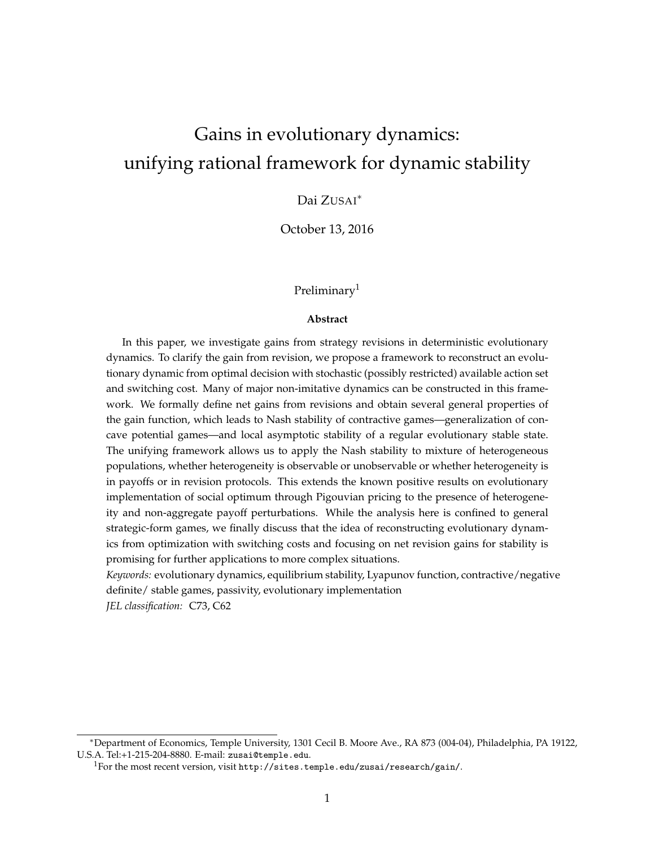# Gains in evolutionary dynamics: unifying rational framework for dynamic stability

# Dai ZUSAI<sup>∗</sup>

October 13, 2016

### Preliminary<sup>[1](#page-0-0)</sup>

#### **Abstract**

In this paper, we investigate gains from strategy revisions in deterministic evolutionary dynamics. To clarify the gain from revision, we propose a framework to reconstruct an evolutionary dynamic from optimal decision with stochastic (possibly restricted) available action set and switching cost. Many of major non-imitative dynamics can be constructed in this framework. We formally define net gains from revisions and obtain several general properties of the gain function, which leads to Nash stability of contractive games—generalization of concave potential games—and local asymptotic stability of a regular evolutionary stable state. The unifying framework allows us to apply the Nash stability to mixture of heterogeneous populations, whether heterogeneity is observable or unobservable or whether heterogeneity is in payoffs or in revision protocols. This extends the known positive results on evolutionary implementation of social optimum through Pigouvian pricing to the presence of heterogeneity and non-aggregate payoff perturbations. While the analysis here is confined to general strategic-form games, we finally discuss that the idea of reconstructing evolutionary dynamics from optimization with switching costs and focusing on net revision gains for stability is promising for further applications to more complex situations.

*Keywords:* evolutionary dynamics, equilibrium stability, Lyapunov function, contractive/negative definite/ stable games, passivity, evolutionary implementation

*JEL classification:* C73, C62

<sup>∗</sup>Department of Economics, Temple University, 1301 Cecil B. Moore Ave., RA 873 (004-04), Philadelphia, PA 19122, U.S.A. Tel:+1-215-204-8880. E-mail: zusai@temple.edu.

<span id="page-0-0"></span><sup>1</sup>For the most recent version, visit <http://sites.temple.edu/zusai/research/gain/>.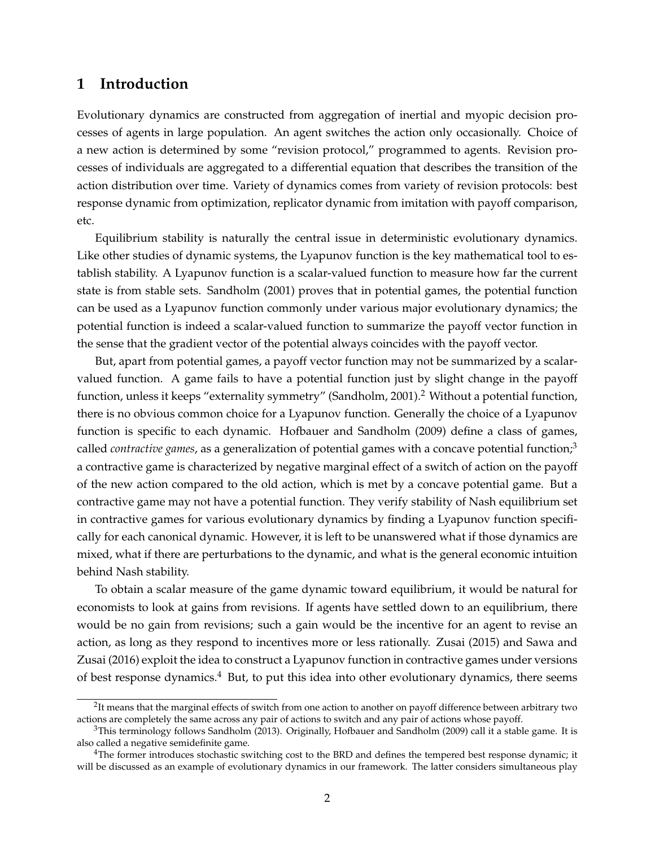# **1 Introduction**

Evolutionary dynamics are constructed from aggregation of inertial and myopic decision processes of agents in large population. An agent switches the action only occasionally. Choice of a new action is determined by some "revision protocol," programmed to agents. Revision processes of individuals are aggregated to a differential equation that describes the transition of the action distribution over time. Variety of dynamics comes from variety of revision protocols: best response dynamic from optimization, replicator dynamic from imitation with payoff comparison, etc.

Equilibrium stability is naturally the central issue in deterministic evolutionary dynamics. Like other studies of dynamic systems, the Lyapunov function is the key mathematical tool to establish stability. A Lyapunov function is a scalar-valued function to measure how far the current state is from stable sets. [Sandholm](#page-35-0) [\(2001\)](#page-35-0) proves that in potential games, the potential function can be used as a Lyapunov function commonly under various major evolutionary dynamics; the potential function is indeed a scalar-valued function to summarize the payoff vector function in the sense that the gradient vector of the potential always coincides with the payoff vector.

But, apart from potential games, a payoff vector function may not be summarized by a scalarvalued function. A game fails to have a potential function just by slight change in the payoff function, unless it keeps "externality symmetry" [\(Sandholm, 2001\)](#page-35-0).<sup>[2](#page-1-0)</sup> Without a potential function, there is no obvious common choice for a Lyapunov function. Generally the choice of a Lyapunov function is specific to each dynamic. [Hofbauer and Sandholm](#page-35-1) [\(2009\)](#page-35-1) define a class of games, called *contractive games*, as a generalization of potential games with a concave potential function;<sup>[3](#page-1-1)</sup> a contractive game is characterized by negative marginal effect of a switch of action on the payoff of the new action compared to the old action, which is met by a concave potential game. But a contractive game may not have a potential function. They verify stability of Nash equilibrium set in contractive games for various evolutionary dynamics by finding a Lyapunov function specifically for each canonical dynamic. However, it is left to be unanswered what if those dynamics are mixed, what if there are perturbations to the dynamic, and what is the general economic intuition behind Nash stability.

To obtain a scalar measure of the game dynamic toward equilibrium, it would be natural for economists to look at gains from revisions. If agents have settled down to an equilibrium, there would be no gain from revisions; such a gain would be the incentive for an agent to revise an action, as long as they respond to incentives more or less rationally. [Zusai](#page-36-0) [\(2015\)](#page-36-0) and [Sawa and](#page-36-1) [Zusai](#page-36-1) [\(2016\)](#page-36-1) exploit the idea to construct a Lyapunov function in contractive games under versions of best response dynamics.<sup>[4](#page-1-2)</sup> But, to put this idea into other evolutionary dynamics, there seems

<span id="page-1-0"></span> $2$ It means that the marginal effects of switch from one action to another on payoff difference between arbitrary two actions are completely the same across any pair of actions to switch and any pair of actions whose payoff.

<span id="page-1-1"></span> $3$ This terminology follows [Sandholm](#page-36-2) [\(2013\)](#page-36-2). Originally, [Hofbauer and Sandholm](#page-35-1) [\(2009\)](#page-35-1) call it a stable game. It is also called a negative semidefinite game.

<span id="page-1-2"></span><sup>&</sup>lt;sup>4</sup>The former introduces stochastic switching cost to the BRD and defines the tempered best response dynamic; it will be discussed as an example of evolutionary dynamics in our framework. The latter considers simultaneous play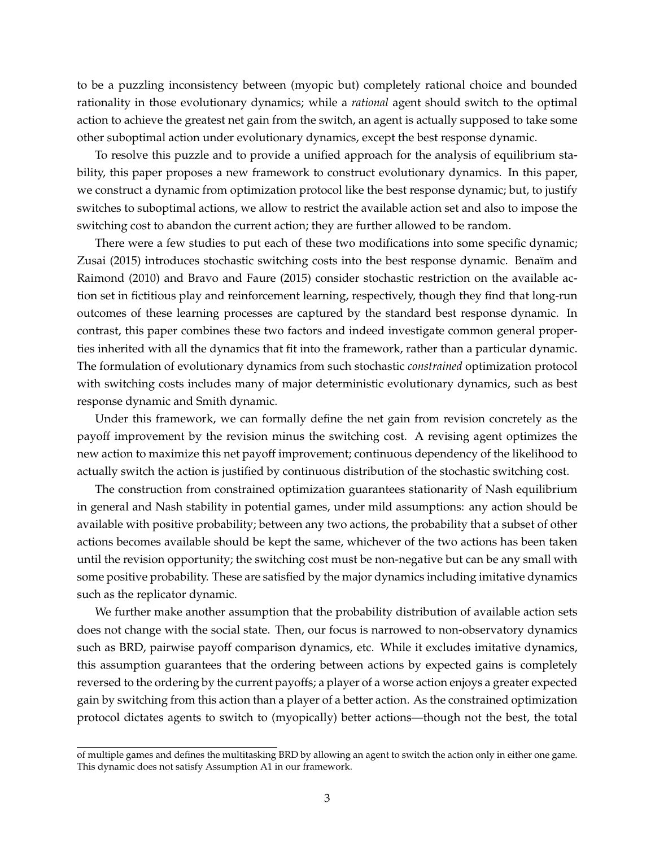to be a puzzling inconsistency between (myopic but) completely rational choice and bounded rationality in those evolutionary dynamics; while a *rational* agent should switch to the optimal action to achieve the greatest net gain from the switch, an agent is actually supposed to take some other suboptimal action under evolutionary dynamics, except the best response dynamic.

To resolve this puzzle and to provide a unified approach for the analysis of equilibrium stability, this paper proposes a new framework to construct evolutionary dynamics. In this paper, we construct a dynamic from optimization protocol like the best response dynamic; but, to justify switches to suboptimal actions, we allow to restrict the available action set and also to impose the switching cost to abandon the current action; they are further allowed to be random.

There were a few studies to put each of these two modifications into some specific dynamic; [Zusai](#page-36-0) [\(2015\)](#page-36-0) introduces stochastic switching costs into the best response dynamic. Benaïm and [Raimond](#page-34-0) [\(2010\)](#page-34-0) and [Bravo and Faure](#page-35-2) [\(2015\)](#page-35-2) consider stochastic restriction on the available action set in fictitious play and reinforcement learning, respectively, though they find that long-run outcomes of these learning processes are captured by the standard best response dynamic. In contrast, this paper combines these two factors and indeed investigate common general properties inherited with all the dynamics that fit into the framework, rather than a particular dynamic. The formulation of evolutionary dynamics from such stochastic *constrained* optimization protocol with switching costs includes many of major deterministic evolutionary dynamics, such as best response dynamic and Smith dynamic.

Under this framework, we can formally define the net gain from revision concretely as the payoff improvement by the revision minus the switching cost. A revising agent optimizes the new action to maximize this net payoff improvement; continuous dependency of the likelihood to actually switch the action is justified by continuous distribution of the stochastic switching cost.

The construction from constrained optimization guarantees stationarity of Nash equilibrium in general and Nash stability in potential games, under mild assumptions: any action should be available with positive probability; between any two actions, the probability that a subset of other actions becomes available should be kept the same, whichever of the two actions has been taken until the revision opportunity; the switching cost must be non-negative but can be any small with some positive probability. These are satisfied by the major dynamics including imitative dynamics such as the replicator dynamic.

We further make another assumption that the probability distribution of available action sets does not change with the social state. Then, our focus is narrowed to non-observatory dynamics such as BRD, pairwise payoff comparison dynamics, etc. While it excludes imitative dynamics, this assumption guarantees that the ordering between actions by expected gains is completely reversed to the ordering by the current payoffs; a player of a worse action enjoys a greater expected gain by switching from this action than a player of a better action. As the constrained optimization protocol dictates agents to switch to (myopically) better actions—though not the best, the total

of multiple games and defines the multitasking BRD by allowing an agent to switch the action only in either one game. This dynamic does not satisfy Assumption [A1](#page-8-0) in our framework.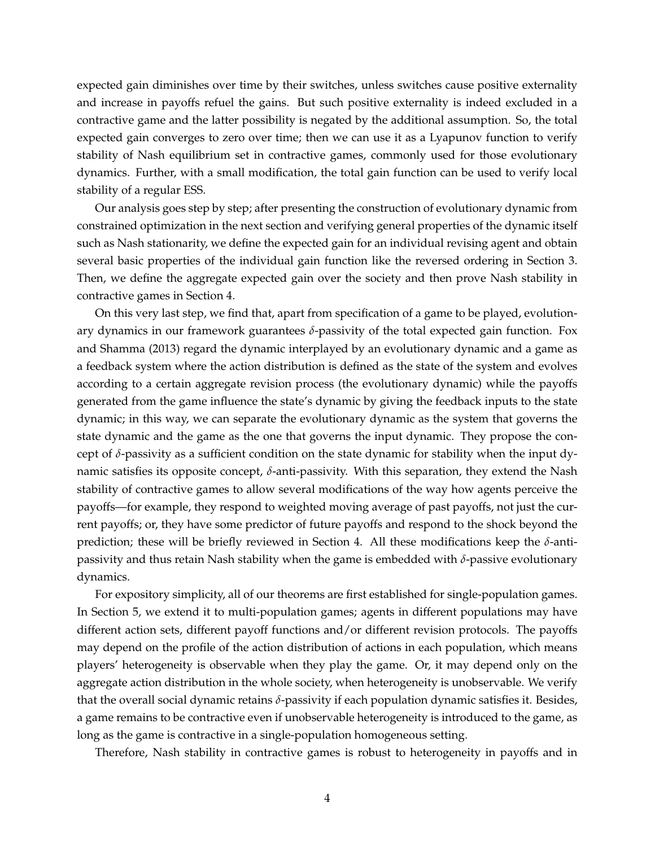expected gain diminishes over time by their switches, unless switches cause positive externality and increase in payoffs refuel the gains. But such positive externality is indeed excluded in a contractive game and the latter possibility is negated by the additional assumption. So, the total expected gain converges to zero over time; then we can use it as a Lyapunov function to verify stability of Nash equilibrium set in contractive games, commonly used for those evolutionary dynamics. Further, with a small modification, the total gain function can be used to verify local stability of a regular ESS.

Our analysis goes step by step; after presenting the construction of evolutionary dynamic from constrained optimization in the next section and verifying general properties of the dynamic itself such as Nash stationarity, we define the expected gain for an individual revising agent and obtain several basic properties of the individual gain function like the reversed ordering in Section [3.](#page-10-0) Then, we define the aggregate expected gain over the society and then prove Nash stability in contractive games in Section [4.](#page-12-0)

On this very last step, we find that, apart from specification of a game to be played, evolutionary dynamics in our framework guarantees *δ*-passivity of the total expected gain function. [Fox](#page-35-3) [and Shamma](#page-35-3) [\(2013\)](#page-35-3) regard the dynamic interplayed by an evolutionary dynamic and a game as a feedback system where the action distribution is defined as the state of the system and evolves according to a certain aggregate revision process (the evolutionary dynamic) while the payoffs generated from the game influence the state's dynamic by giving the feedback inputs to the state dynamic; in this way, we can separate the evolutionary dynamic as the system that governs the state dynamic and the game as the one that governs the input dynamic. They propose the concept of  $\delta$ -passivity as a sufficient condition on the state dynamic for stability when the input dynamic satisfies its opposite concept, *δ*-anti-passivity. With this separation, they extend the Nash stability of contractive games to allow several modifications of the way how agents perceive the payoffs—for example, they respond to weighted moving average of past payoffs, not just the current payoffs; or, they have some predictor of future payoffs and respond to the shock beyond the prediction; these will be briefly reviewed in Section [4.](#page-12-0) All these modifications keep the *δ*-antipassivity and thus retain Nash stability when the game is embedded with *δ*-passive evolutionary dynamics.

For expository simplicity, all of our theorems are first established for single-population games. In Section [5,](#page-19-0) we extend it to multi-population games; agents in different populations may have different action sets, different payoff functions and/or different revision protocols. The payoffs may depend on the profile of the action distribution of actions in each population, which means players' heterogeneity is observable when they play the game. Or, it may depend only on the aggregate action distribution in the whole society, when heterogeneity is unobservable. We verify that the overall social dynamic retains *δ*-passivity if each population dynamic satisfies it. Besides, a game remains to be contractive even if unobservable heterogeneity is introduced to the game, as long as the game is contractive in a single-population homogeneous setting.

Therefore, Nash stability in contractive games is robust to heterogeneity in payoffs and in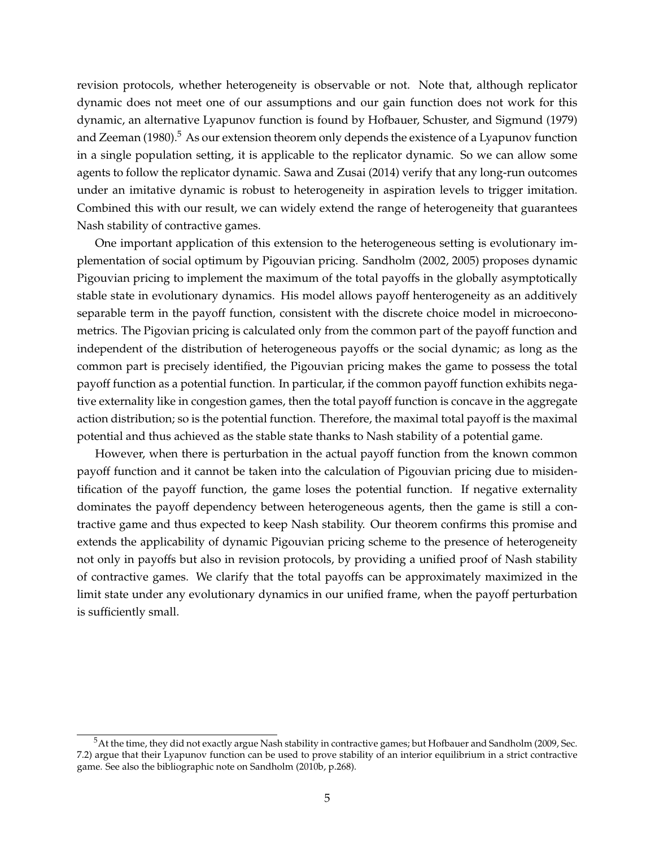revision protocols, whether heterogeneity is observable or not. Note that, although replicator dynamic does not meet one of our assumptions and our gain function does not work for this dynamic, an alternative Lyapunov function is found by [Hofbauer, Schuster, and Sigmund](#page-35-4) [\(1979\)](#page-35-4) and [Zeeman](#page-36-3)  $(1980)$ .<sup>[5](#page-4-0)</sup> As our extension theorem only depends the existence of a Lyapunov function in a single population setting, it is applicable to the replicator dynamic. So we can allow some agents to follow the replicator dynamic. [Sawa and Zusai](#page-36-4) [\(2014\)](#page-36-4) verify that any long-run outcomes under an imitative dynamic is robust to heterogeneity in aspiration levels to trigger imitation. Combined this with our result, we can widely extend the range of heterogeneity that guarantees Nash stability of contractive games.

One important application of this extension to the heterogeneous setting is evolutionary implementation of social optimum by Pigouvian pricing. [Sandholm](#page-35-5) [\(2002,](#page-35-5) [2005\)](#page-35-6) proposes dynamic Pigouvian pricing to implement the maximum of the total payoffs in the globally asymptotically stable state in evolutionary dynamics. His model allows payoff henterogeneity as an additively separable term in the payoff function, consistent with the discrete choice model in microeconometrics. The Pigovian pricing is calculated only from the common part of the payoff function and independent of the distribution of heterogeneous payoffs or the social dynamic; as long as the common part is precisely identified, the Pigouvian pricing makes the game to possess the total payoff function as a potential function. In particular, if the common payoff function exhibits negative externality like in congestion games, then the total payoff function is concave in the aggregate action distribution; so is the potential function. Therefore, the maximal total payoff is the maximal potential and thus achieved as the stable state thanks to Nash stability of a potential game.

However, when there is perturbation in the actual payoff function from the known common payoff function and it cannot be taken into the calculation of Pigouvian pricing due to misidentification of the payoff function, the game loses the potential function. If negative externality dominates the payoff dependency between heterogeneous agents, then the game is still a contractive game and thus expected to keep Nash stability. Our theorem confirms this promise and extends the applicability of dynamic Pigouvian pricing scheme to the presence of heterogeneity not only in payoffs but also in revision protocols, by providing a unified proof of Nash stability of contractive games. We clarify that the total payoffs can be approximately maximized in the limit state under any evolutionary dynamics in our unified frame, when the payoff perturbation is sufficiently small.

<span id="page-4-0"></span> $^5$ At the time, they did not exactly argue Nash stability in contractive games; but [Hofbauer and Sandholm](#page-35-1) [\(2009,](#page-35-1) Sec. 7.2) argue that their Lyapunov function can be used to prove stability of an interior equilibrium in a strict contractive game. See also the bibliographic note on [Sandholm](#page-35-7) [\(2010b,](#page-35-7) p.268).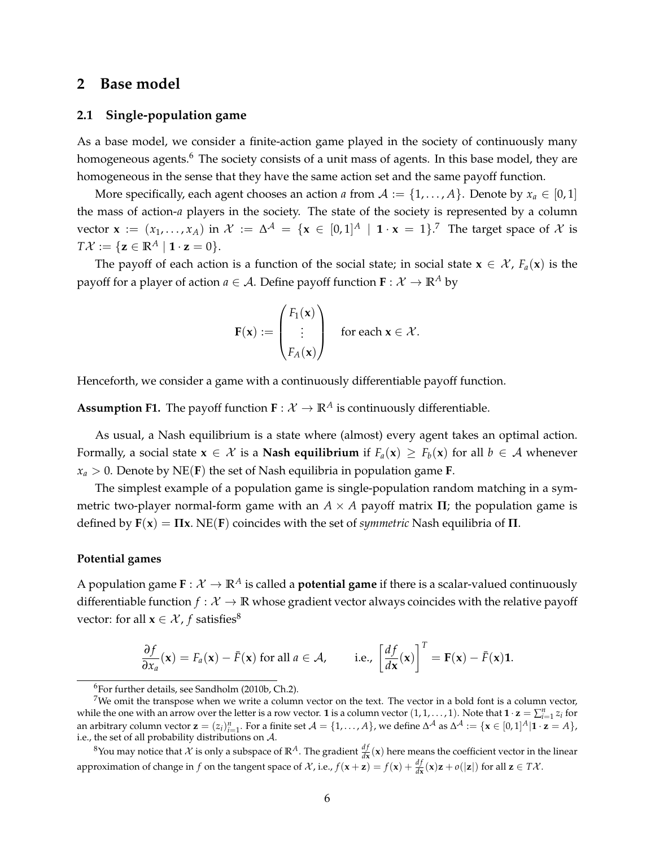# **2 Base model**

#### **2.1 Single-population game**

As a base model, we consider a finite-action game played in the society of continuously many homogeneous agents.<sup>[6](#page-5-0)</sup> The society consists of a unit mass of agents. In this base model, they are homogeneous in the sense that they have the same action set and the same payoff function.

More specifically, each agent chooses an action *a* from  $A := \{1, \ldots, A\}$ . Denote by  $x_a \in [0, 1]$ the mass of action-*a* players in the society. The state of the society is represented by a column vector  $\mathbf{x} := (x_1, \ldots, x_A)$  in  $\mathcal{X} := \Delta^{\mathcal{A}} = \{ \mathbf{x} \in [0,1]^A \mid \mathbf{1} \cdot \mathbf{x} = 1 \}$ .<sup>[7](#page-5-1)</sup> The target space of  $\mathcal{X}$  is  $T\mathcal{X} := \{ \mathbf{z} \in \mathbb{R}^A \mid \mathbf{1} \cdot \mathbf{z} = 0 \}.$ 

The payoff of each action is a function of the social state; in social state  $\mathbf{x} \in \mathcal{X}$ ,  $F_a(\mathbf{x})$  is the payoff for a player of action  $a \in \mathcal{A}$ . Define payoff function  $\mathbf{F} : \mathcal{X} \to \mathbb{R}^A$  by

$$
\mathbf{F}(\mathbf{x}) := \begin{pmatrix} F_1(\mathbf{x}) \\ \vdots \\ F_A(\mathbf{x}) \end{pmatrix} \quad \text{for each } \mathbf{x} \in \mathcal{X}.
$$

<span id="page-5-3"></span>Henceforth, we consider a game with a continuously differentiable payoff function.

**Assumption F1.** The payoff function  $\mathbf{F} : \mathcal{X} \to \mathbb{R}^A$  is continuously differentiable.

As usual, a Nash equilibrium is a state where (almost) every agent takes an optimal action. Formally, a social state  $x \in \mathcal{X}$  is a **Nash equilibrium** if  $F_a(x) \geq F_b(x)$  for all  $b \in \mathcal{A}$  whenever  $x_a > 0$ . Denote by NE(**F**) the set of Nash equilibria in population game **F**.

The simplest example of a population game is single-population random matching in a symmetric two-player normal-form game with an  $A \times A$  payoff matrix  $\Pi$ ; the population game is defined by **F**(**x**) = **Πx**. NE(**F**) coincides with the set of *symmetric* Nash equilibria of **Π**.

#### **Potential games**

A population game  $\mathbf{F} : \mathcal{X} \to \mathbb{R}^A$  is called a **potential game** if there is a scalar-valued continuously differentiable function  $f: \mathcal{X} \to \mathbb{R}$  whose gradient vector always coincides with the relative payoff vector: for all  $\mathbf{x} \in \mathcal{X}$ , *f* satisfies<sup>[8](#page-5-2)</sup>

$$
\frac{\partial f}{\partial x_a}(\mathbf{x}) = F_a(\mathbf{x}) - \bar{F}(\mathbf{x}) \text{ for all } a \in \mathcal{A}, \qquad \text{i.e., } \left[\frac{df}{d\mathbf{x}}(\mathbf{x})\right]^T = \mathbf{F}(\mathbf{x}) - \bar{F}(\mathbf{x})\mathbf{1}.
$$

<span id="page-5-2"></span><sup>8</sup>You may notice that X is only a subspace of  $\mathbb{R}^A$ . The gradient  $\frac{df}{dx}(x)$  here means the coefficient vector in the linear approximation of change in *f* on the tangent space of  $\mathcal{X}$ , i.e.,  $f(\mathbf{x} + \mathbf{z}) = f(\mathbf{x}) + \frac{df}{d\mathbf{x}}(\mathbf{x})\mathbf{z} + o(|\mathbf{z}|)$  for all  $\mathbf{z} \in T\mathcal{X}$ .

<span id="page-5-1"></span><span id="page-5-0"></span> $6$ For further details, see [Sandholm](#page-35-7) [\(2010b,](#page-35-7) Ch.2).

<sup>&</sup>lt;sup>7</sup>We omit the transpose when we write a column vector on the text. The vector in a bold font is a column vector, while the one with an arrow over the letter is a row vector. **1** is a column vector  $(1,1,\ldots,1)$ . Note that  $\mathbf{1} \cdot \mathbf{z} = \sum_{i=1}^{n} z_i$  for an arbitrary column vector  $\mathbf{z} = (z_i)_{i=1}^n$ . For a finite set  $\mathcal{A} = \{1, \ldots, A\}$ , we define  $\Delta^{\mathcal{A}}$  as  $\Delta^{\mathcal{A}} := \{\mathbf{x} \in [0, 1]^A | \mathbf{1} \cdot \mathbf{z} = A\}$ , i.e., the set of all probability distributions on A.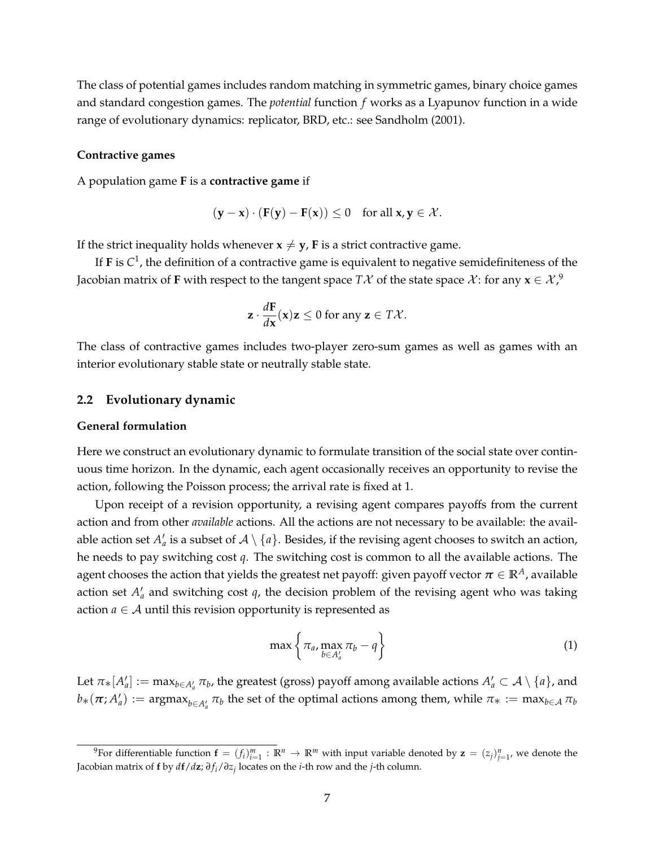The class of potential games includes random matching in symmetric games, binary choice games and standard congestion games. The *potential* function *f* works as a Lyapunov function in a wide range of evolutionary dynamics: replicator, BRD, etc.: see [Sandholm](#page-35-0) [\(2001\)](#page-35-0).

#### **Contractive games**

A population game **F** is a **contractive game** if

$$
(\mathbf{y} - \mathbf{x}) \cdot (\mathbf{F}(\mathbf{y}) - \mathbf{F}(\mathbf{x})) \le 0 \quad \text{for all } \mathbf{x}, \mathbf{y} \in \mathcal{X}.
$$

If the strict inequality holds whenever  $x \neq y$ , **F** is a strict contractive game.

If **F** is  $C^1$ , the definition of a contractive game is equivalent to negative semidefiniteness of the Jacobian matrix of **F** with respect to the tangent space  $T\mathcal{X}$  of the state space  $\mathcal{X}$ : for any  $\mathbf{x} \in \mathcal{X}$ , $^9$  $^9$ 

$$
\mathbf{z} \cdot \frac{d\mathbf{F}}{d\mathbf{x}}(\mathbf{x})\mathbf{z} \leq 0 \text{ for any } \mathbf{z} \in T\mathcal{X}.
$$

The class of contractive games includes two-player zero-sum games as well as games with an interior evolutionary stable state or neutrally stable state.

#### **2.2 Evolutionary dynamic**

#### **General formulation**

Here we construct an evolutionary dynamic to formulate transition of the social state over continuous time horizon. In the dynamic, each agent occasionally receives an opportunity to revise the action, following the Poisson process; the arrival rate is fixed at 1.

Upon receipt of a revision opportunity, a revising agent compares payoffs from the current action and from other *available* actions. All the actions are not necessary to be available: the available action set  $A'_a$  is a subset of  $\mathcal{A} \setminus \{a\}$ . Besides, if the revising agent chooses to switch an action, he needs to pay switching cost *q*. The switching cost is common to all the available actions. The agent chooses the action that yields the greatest net payoff: given payoff vector  $\pi \in \mathbb{R}^A$ , available action set  $A'_a$  and switching cost  $q$ , the decision problem of the revising agent who was taking action  $a \in A$  until this revision opportunity is represented as

<span id="page-6-1"></span>
$$
\max\left\{\pi_a,\max_{b\in A'_a}\pi_b-q\right\}\tag{1}
$$

Let  $\pi_*[A'_a]:=\max_{b\in A'_a}\pi_b$ , the greatest (gross) payoff among available actions  $A'_a\subset \mathcal{A}\setminus\{a\}$ , and  $b_*(\pi; A'_a):= \arg\!\max_{b\in A'_a} \pi_b$  the set of the optimal actions among them, while  $\pi_*:=\max_{b\in \mathcal{A}} \pi_b$ 

<span id="page-6-0"></span><sup>&</sup>lt;sup>9</sup>For differentiable function  $\mathbf{f} = (f_i)_{i=1}^m : \mathbb{R}^n \to \mathbb{R}^m$  with input variable denoted by  $\mathbf{z} = (z_j)_{j=1}^n$ , we denote the Jacobian matrix of **f** by *d***f**/*d***z**; *∂ f <sup>i</sup>*/*∂z<sup>j</sup>* locates on the *i*-th row and the *j*-th column.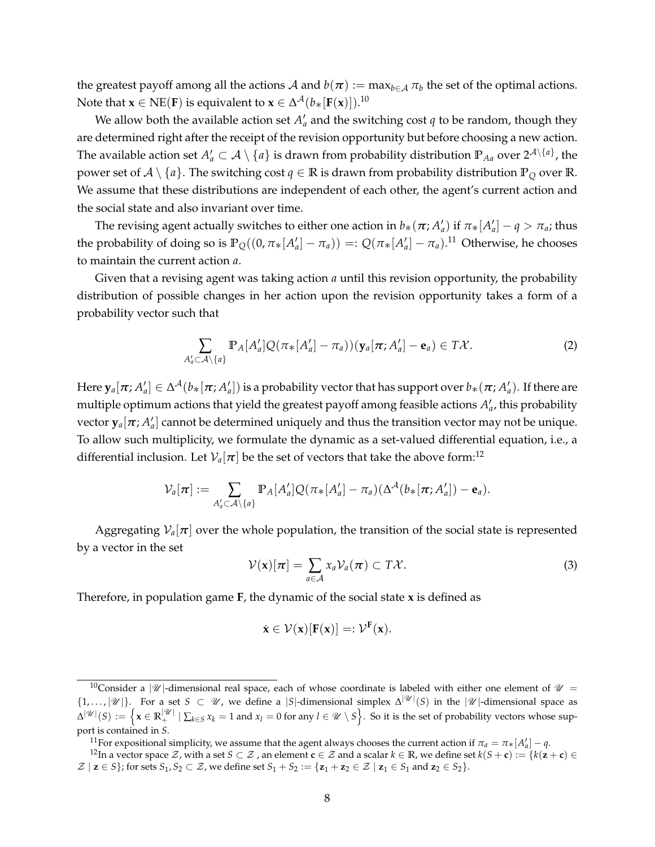the greatest payoff among all the actions  ${\cal A}$  and  $b(\bm{\pi}):=\max_{b\in{\cal A}}\pi_b$  the set of the optimal actions. Note that  $\mathbf{x} \in \text{NE}(\mathbf{F})$  is equivalent to  $\mathbf{x} \in \Delta^{\mathcal{A}}(b_{*}[\mathbf{F}(\mathbf{x})])$ .<sup>[10](#page-7-0)</sup>

We allow both the available action set  $A'_a$  and the switching cost  $q$  to be random, though they are determined right after the receipt of the revision opportunity but before choosing a new action. The available action set  $A'_a\subset\mathcal{A}\setminus\{a\}$  is drawn from probability distribution  $\mathbb{P}_{Aa}$  over  $2^{\mathcal{A}\setminus\{a\}}$ , the power set of  $A \setminus \{a\}$ . The switching cost  $q \in \mathbb{R}$  is drawn from probability distribution  $\mathbb{P}_Q$  over  $\mathbb{R}$ . We assume that these distributions are independent of each other, the agent's current action and the social state and also invariant over time.

The revising agent actually switches to either one action in  $b_*(\pi;A'_a)$  if  $\pi_*[A'_a]-q>\pi_a$ ; thus the probability of doing so is  $\mathbb{P}_{Q}((0, \pi_{*}[A'_{a}]-\pi_{a})) =: Q(\pi_{*}[A'_{a}]-\pi_{a}).^{11}$  $\mathbb{P}_{Q}((0, \pi_{*}[A'_{a}]-\pi_{a})) =: Q(\pi_{*}[A'_{a}]-\pi_{a}).^{11}$  $\mathbb{P}_{Q}((0, \pi_{*}[A'_{a}]-\pi_{a})) =: Q(\pi_{*}[A'_{a}]-\pi_{a}).^{11}$  Otherwise, he chooses to maintain the current action *a*.

Given that a revising agent was taking action *a* until this revision opportunity, the probability distribution of possible changes in her action upon the revision opportunity takes a form of a probability vector such that

$$
\sum_{A'_a \subset A \setminus \{a\}} \mathbb{P}_A[A'_a] Q(\pi_*[A'_a] - \pi_a)) (\mathbf{y}_a[\pi; A'_a] - \mathbf{e}_a) \in T\mathcal{X}.
$$
 (2)

 $\text{Here } \mathbf{y}_a[\pi; A'_a]\in \Delta^{\mathcal{A}}(b_*[\pi; A'_a])$  is a probability vector that has support over  $b_*(\pi; A'_a)$ . If there are multiple optimum actions that yield the greatest payoff among feasible actions  $A'_a$ , this probability vector  $\mathbf{y}_a[\pi; A'_a]$  cannot be determined uniquely and thus the transition vector may not be unique. To allow such multiplicity, we formulate the dynamic as a set-valued differential equation, i.e., a differential inclusion. Let  $V_a[\pi]$  be the set of vectors that take the above form:<sup>[12](#page-7-2)</sup>

$$
\mathcal{V}_a[\boldsymbol{\pi}] := \sum_{A'_a \subset \mathcal{A} \setminus \{a\}} \mathbb{P}_A[A'_a] Q(\pi_*[A'_a] - \pi_a) (\Delta^{\mathcal{A}}(b_*[\boldsymbol{\pi};A'_a]) - \mathbf{e}_a).
$$

Aggregating  $V_a[\pi]$  over the whole population, the transition of the social state is represented by a vector in the set

$$
\mathcal{V}(\mathbf{x})[\boldsymbol{\pi}] = \sum_{a \in \mathcal{A}} x_a \mathcal{V}_a(\boldsymbol{\pi}) \subset T\mathcal{X}.
$$
 (3)

Therefore, in population game **F**, the dynamic of the social state **x** is defined as

$$
\dot{\mathbf{x}} \in \mathcal{V}(\mathbf{x})[F(\mathbf{x})] =: \mathcal{V}^F(\mathbf{x}).
$$

<span id="page-7-2"></span><span id="page-7-1"></span><sup>11</sup>For expositional simplicity, we assume that the agent always chooses the current action if  $\pi_a = \pi_*[A'_a] - q$ .

<span id="page-7-0"></span><sup>&</sup>lt;sup>10</sup>Consider a  $|\mathcal{U}|$ -dimensional real space, each of whose coordinate is labeled with either one element of  $\mathcal{U}$  =  $\{1,\ldots,|\mathcal{U}|\}$ . For a set  $S \subset \mathcal{U}$ , we define a |S|-dimensional simplex  $\Delta^{|\mathcal{U}|}(S)$  in the  $|\mathcal{U}|$ -dimensional space as  $\Delta^{|\mathscr{U}|}(S) := \Big\{ \mathbf{x} \in \mathbb{R}_+^{|\mathscr{U}|} \mid \sum_{k \in S} x_k = 1 \text{ and } x_l = 0 \text{ for any } l \in \mathscr{U} \setminus S \Big\}.$  So it is the set of probability vectors whose support is contained in *S*.

<sup>&</sup>lt;sup>12</sup>In a vector space  $\mathcal{Z}$ , with a set  $S \subset \mathcal{Z}$ , an element  $\mathbf{c} \in \mathcal{Z}$  and a scalar  $k \in \mathbb{R}$ , we define set  $k(S + \mathbf{c}) := \{k(\mathbf{z} + \mathbf{c}) \in \mathbb{R} \}$  $\mathcal{Z} \mid \mathbf{z} \in S$ }; for sets  $S_1, S_2 \subset \mathcal{Z}$ , we define set  $S_1 + S_2 := \{ \mathbf{z}_1 + \mathbf{z}_2 \in \mathcal{Z} \mid \mathbf{z}_1 \in S_1 \text{ and } \mathbf{z}_2 \in S_2 \}.$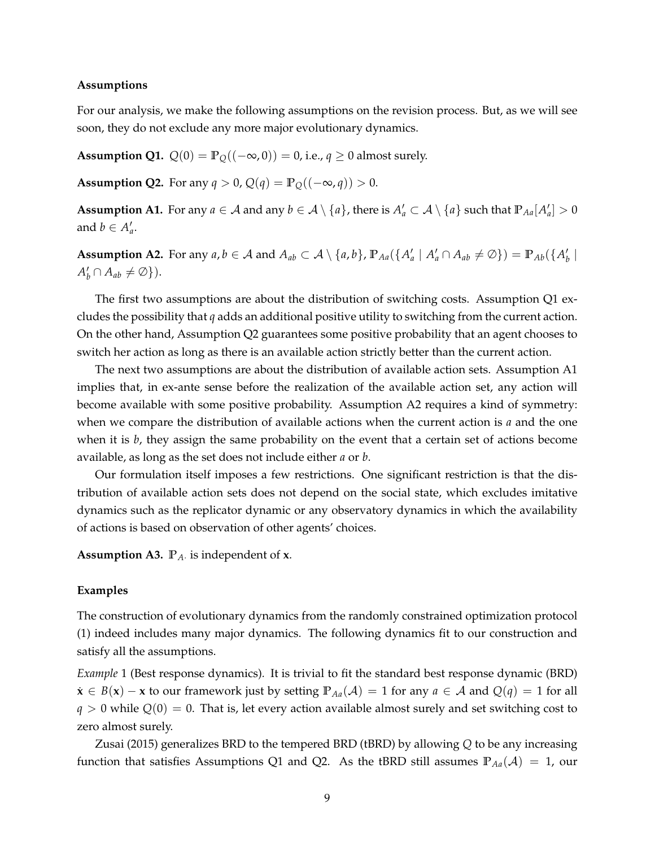#### **Assumptions**

For our analysis, we make the following assumptions on the revision process. But, as we will see soon, they do not exclude any more major evolutionary dynamics.

<span id="page-8-1"></span>**Assumption Q1.**  $Q(0) = \mathbb{P}_Q((-\infty, 0)) = 0$ , i.e.,  $q \ge 0$  almost surely.

<span id="page-8-2"></span>**Assumption Q2.** For any  $q > 0$ ,  $Q(q) = \mathbb{P}_Q((-\infty, q)) > 0$ .

<span id="page-8-0"></span>**Assumption A1.** For any  $a \in A$  and any  $b \in A \setminus \{a\}$ , there is  $A'_a \subset A \setminus \{a\}$  such that  $\mathbb{P}_{Aa}[A'_a] > 0$ and  $b \in A'_a$ .

<span id="page-8-3"></span>**Assumption A2.** For any  $a, b \in A$  and  $A_{ab} \subset A \setminus \{a, b\}$ ,  $\mathbb{P}_{Aa}(\{A'_a \mid A'_a \cap A_{ab} \neq \emptyset\}) = \mathbb{P}_{Ab}(\{A'_b \mid A'_b \cap A'_b \neq \emptyset\})$  $A'_b \cap A_{ab} \neq \emptyset$ ).

The first two assumptions are about the distribution of switching costs. Assumption [Q1](#page-8-1) excludes the possibility that *q* adds an additional positive utility to switching from the current action. On the other hand, Assumption [Q2](#page-8-2) guarantees some positive probability that an agent chooses to switch her action as long as there is an available action strictly better than the current action.

The next two assumptions are about the distribution of available action sets. Assumption [A1](#page-8-0) implies that, in ex-ante sense before the realization of the available action set, any action will become available with some positive probability. Assumption [A2](#page-8-3) requires a kind of symmetry: when we compare the distribution of available actions when the current action is *a* and the one when it is *b*, they assign the same probability on the event that a certain set of actions become available, as long as the set does not include either *a* or *b*.

Our formulation itself imposes a few restrictions. One significant restriction is that the distribution of available action sets does not depend on the social state, which excludes imitative dynamics such as the replicator dynamic or any observatory dynamics in which the availability of actions is based on observation of other agents' choices.

<span id="page-8-4"></span>**Assumption A3. P***A*· is independent of **x**.

#### **Examples**

The construction of evolutionary dynamics from the randomly constrained optimization protocol [\(1\)](#page-6-1) indeed includes many major dynamics. The following dynamics fit to our construction and satisfy all the assumptions.

*Example* 1 (Best response dynamics)*.* It is trivial to fit the standard best response dynamic (BRD)  $\dot{\mathbf{x}}$  ∈ *B*(**x**) – **x** to our framework just by setting  $\mathbb{P}_{A}$ <sub>*A*</sub>( $\mathcal{A}$ ) = 1 for any *a* ∈  $\mathcal{A}$  and  $Q(q)$  = 1 for all  $q > 0$  while  $Q(0) = 0$ . That is, let every action available almost surely and set switching cost to zero almost surely.

[Zusai](#page-36-0) [\(2015\)](#page-36-0) generalizes BRD to the tempered BRD (tBRD) by allowing *Q* to be any increasing function that satisfies Assumptions [Q1](#page-8-1) and [Q2.](#page-8-2) As the tBRD still assumes  $\mathbb{P}_{A}$ <sub>a</sub>( $\mathcal{A}$ ) = 1, our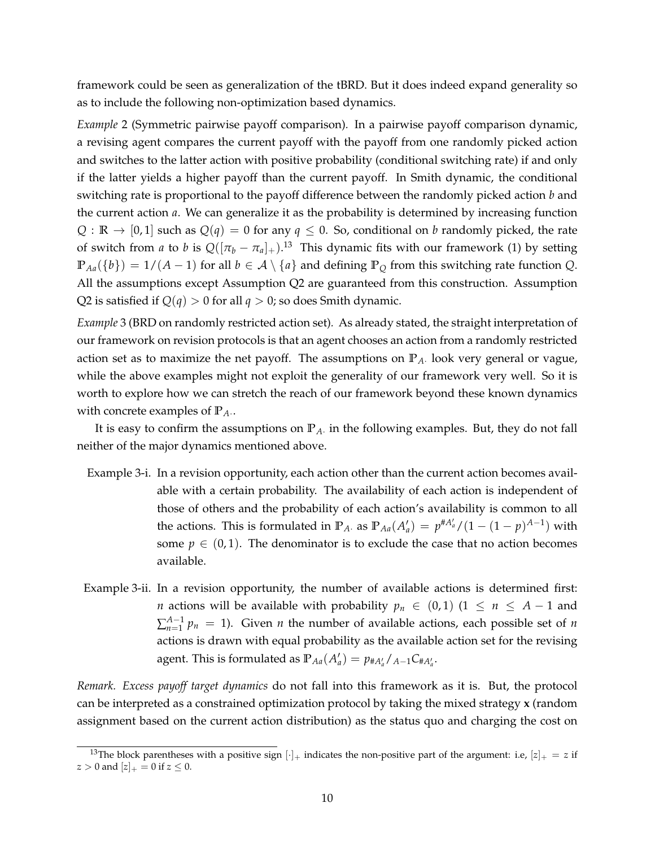framework could be seen as generalization of the tBRD. But it does indeed expand generality so as to include the following non-optimization based dynamics.

*Example* 2 (Symmetric pairwise payoff comparison)*.* In a pairwise payoff comparison dynamic, a revising agent compares the current payoff with the payoff from one randomly picked action and switches to the latter action with positive probability (conditional switching rate) if and only if the latter yields a higher payoff than the current payoff. In Smith dynamic, the conditional switching rate is proportional to the payoff difference between the randomly picked action *b* and the current action *a*. We can generalize it as the probability is determined by increasing function *Q* :  $\mathbb{R} \to [0,1]$  such as  $Q(q) = 0$  for any  $q \le 0$ . So, conditional on *b* randomly picked, the rate of switch from *a* to *b* is  $Q([\pi_b - \pi_a]_+)$ .<sup>[13](#page-9-0)</sup> This dynamic fits with our framework [\(1\)](#page-6-1) by setting **P***Aa*({*b*}) = 1/(*A* − 1) for all *b* ∈ A \ {*a*} and defining **P***<sup>Q</sup>* from this switching rate function *Q*. All the assumptions except Assumption [Q2](#page-8-2) are guaranteed from this construction. Assumption [Q2](#page-8-2) is satisfied if  $Q(q) > 0$  for all  $q > 0$ ; so does Smith dynamic.

<span id="page-9-1"></span>*Example* 3 (BRD on randomly restricted action set)*.* As already stated, the straight interpretation of our framework on revision protocols is that an agent chooses an action from a randomly restricted action set as to maximize the net payoff. The assumptions on **P***A*· look very general or vague, while the above examples might not exploit the generality of our framework very well. So it is worth to explore how we can stretch the reach of our framework beyond these known dynamics with concrete examples of  $\mathbb{P}_A$ .

It is easy to confirm the assumptions on **P***A*· in the following examples. But, they do not fall neither of the major dynamics mentioned above.

- Example [3-](#page-9-1)i. In a revision opportunity, each action other than the current action becomes available with a certain probability. The availability of each action is independent of those of others and the probability of each action's availability is common to all the actions. This is formulated in  $\mathbb{P}_A$ . as  $\mathbb{P}_{A} (A'_a) = p^{\# A'_a} / (1 - (1 - p)^{A-1})$  with some  $p \in (0, 1)$ . The denominator is to exclude the case that no action becomes available.
- Example [3-](#page-9-1)ii. In a revision opportunity, the number of available actions is determined first: *n* actions will be available with probability  $p_n \in (0,1)$  (1 ≤  $n \leq A-1$  and  $\sum_{n=1}^{A-1} p_n = 1$ ). Given *n* the number of available actions, each possible set of *n* actions is drawn with equal probability as the available action set for the revising agent. This is formulated as  $\mathbb{P}_{Aa}(A'_{a}) = p_{\#A'_{a}}/A_{-1}C_{\#A'_{a}}$ .

*Remark. Excess payoff target dynamics* do not fall into this framework as it is. But, the protocol can be interpreted as a constrained optimization protocol by taking the mixed strategy **x** (random assignment based on the current action distribution) as the status quo and charging the cost on

<span id="page-9-0"></span><sup>&</sup>lt;sup>13</sup>The block parentheses with a positive sign  $|\cdot|_+$  indicates the non-positive part of the argument: i.e,  $|z|_+ = z$  if  $z > 0$  and  $[z]_{+} = 0$  if  $z < 0$ .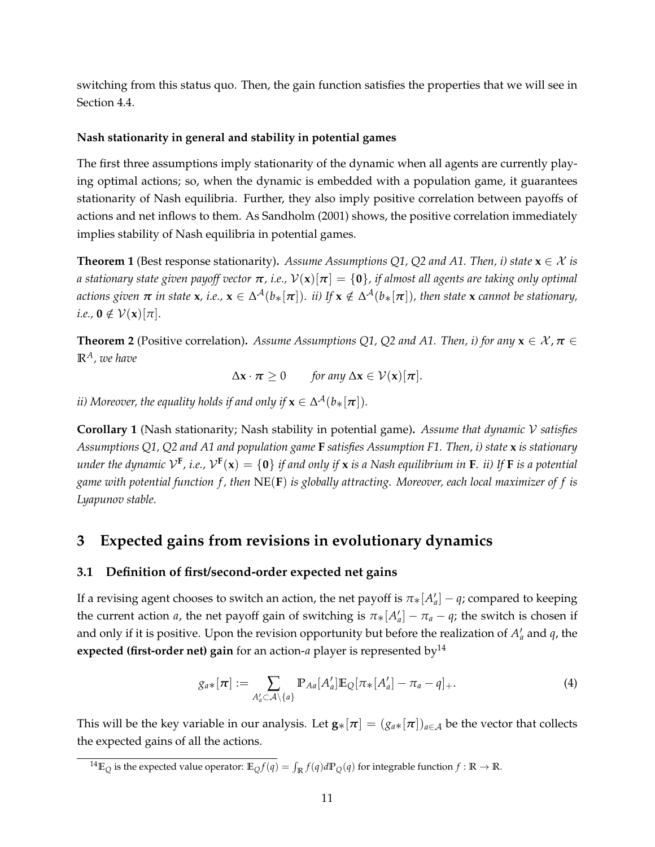switching from this status quo. Then, the gain function satisfies the properties that we will see in Section [4.4.](#page-16-0)

# **Nash stationarity in general and stability in potential games**

The first three assumptions imply stationarity of the dynamic when all agents are currently playing optimal actions; so, when the dynamic is embedded with a population game, it guarantees stationarity of Nash equilibria. Further, they also imply positive correlation between payoffs of actions and net inflows to them. As [Sandholm](#page-35-0) [\(2001\)](#page-35-0) shows, the positive correlation immediately implies stability of Nash equilibria in potential games.

<span id="page-10-2"></span>**Theorem 1** (Best response stationarity). *Assume Assumptions* [Q1,](#page-8-1) [Q2](#page-8-2) and [A1.](#page-8-0) Then, i) state  $\mathbf{x} \in \mathcal{X}$  is *a* stationary state given payoff vector  $\pi$ , i.e.,  $V(x)[\pi] = \{0\}$ , if almost all agents are taking only optimal  $\alpha$  *actions given*  $\pi$  *in state*  $\mathsf{x}$ *, i.e.,*  $\mathsf{x}\in\Delta^\mathcal{A}(b_*[\pi])$ *. ii) If*  $\mathsf{x}\notin\Delta^\mathcal{A}(b_*[\pi])$ *, then state*  $\mathsf{x}$  *<i>cannot be stationary,*  $i.e., \mathbf{0} \notin \mathcal{V}(\mathbf{x})[\pi].$ 

<span id="page-10-4"></span>**Theorem 2** (Positive correlation). *Assume Assumptions Q1*, *Q2* and *A1*. *Then, i) for any*  $\mathbf{x} \in \mathcal{X}, \pi \in$ **R***A, we have*

$$
\Delta \mathbf{x} \cdot \boldsymbol{\pi} \geq 0 \quad \text{for any } \Delta \mathbf{x} \in \mathcal{V}(\mathbf{x})[\boldsymbol{\pi}].
$$

 $i$ *ii) Moreover, the equality holds if and only if*  $\mathbf{x} \in \Delta^{\mathcal{A}}(b_{*}[\boldsymbol{\pi}]).$ 

**Corollary 1** (Nash stationarity; Nash stability in potential game)**.** *Assume that dynamic* V *satisfies Assumptions [Q1,](#page-8-1) [Q2](#page-8-2) and [A1](#page-8-0) and population game* **F** *satisfies Assumption [F1.](#page-5-3) Then, i) state* **x** *is stationary* under the dynamic  $\mathcal{V}^{\mathbf{F}}$ , i.e.,  $\mathcal{V}^{\mathbf{F}}(\mathbf{x})=\{\mathbf{0}\}$  if and only if  $\mathbf{x}$  is a Nash equilibrium in  $\mathbf{F}$ . ii) If  $\mathbf{F}$  is a potential *game with potential function f , then* NE(**F**) *is globally attracting. Moreover, each local maximizer of f is Lyapunov stable.*

# <span id="page-10-0"></span>**3 Expected gains from revisions in evolutionary dynamics**

# **3.1 Definition of first/second-order expected net gains**

If a revising agent chooses to switch an action, the net payoff is  $\pi_*[A'_a]-q$ ; compared to keeping the current action *a*, the net payoff gain of switching is  $\pi_*[A'_a] - \pi_a - q$ ; the switch is chosen if and only if it is positive. Upon the revision opportunity but before the realization of  $A'_a$  and  $q$ , the **expected (first-order net) gain** for an action-*a* player is represented by<sup>[14](#page-10-1)</sup>

<span id="page-10-3"></span>
$$
g_{a*}[\boldsymbol{\pi}] := \sum_{A'_a \subset \mathcal{A} \setminus \{a\}} \mathbb{P}_{Aa}[A'_a] \mathbb{E}_{Q}[\pi_*[A'_a] - \pi_a - q]_+.
$$
 (4)

This will be the key variable in our analysis. Let  $\mathbf{g}_*[\pi] = (g_{a*}[\pi])_{a \in \mathcal{A}}$  be the vector that collects the expected gains of all the actions.

<span id="page-10-1"></span> $^{14}$ E<sub>Q</sub> is the expected value operator: E<sub>Q</sub> $f(q) = \int_{\mathbb{R}} f(q) d\mathbb{P}_{Q}(q)$  for integrable function  $f : \mathbb{R} \to \mathbb{R}$ .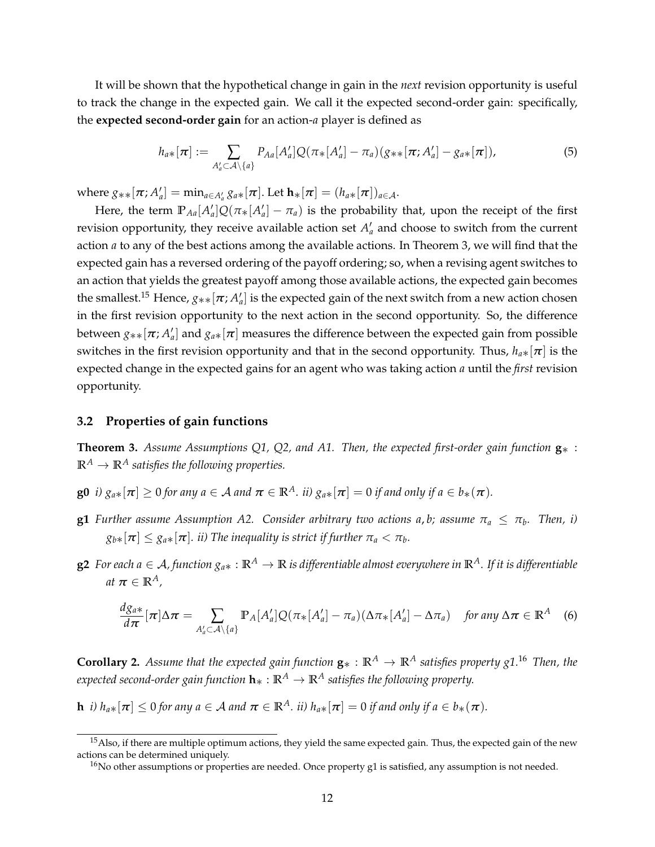It will be shown that the hypothetical change in gain in the *next* revision opportunity is useful to track the change in the expected gain. We call it the expected second-order gain: specifically, the **expected second-order gain** for an action-*a* player is defined as

$$
h_{a*}[\boldsymbol{\pi}] := \sum_{A'_a \subset \mathcal{A} \setminus \{a\}} P_{Aa}[A'_a] Q(\pi_*[A'_a] - \pi_a) (g_{**}[\boldsymbol{\pi}; A'_a] - g_{a*}[\boldsymbol{\pi}]), \tag{5}
$$

 $\text{where } g_{**}[\pi; A'_a] = \min_{a \in A'_a} g_{a*}[\pi]. \text{ Let } \mathbf{h}_{*}[\pi] = (h_{a*}[\pi])_{a \in A}.$ 

Here, the term  $\mathbb{P}_{Aa}[A'_a]Q(\pi_*[A'_a]-\pi_a)$  is the probability that, upon the receipt of the first revision opportunity, they receive available action set  $A'_{a}$  and choose to switch from the current action *a* to any of the best actions among the available actions. In Theorem [3,](#page-11-0) we will find that the expected gain has a reversed ordering of the payoff ordering; so, when a revising agent switches to an action that yields the greatest payoff among those available actions, the expected gain becomes the smallest.<sup>[15](#page-11-1)</sup> Hence,  $g_{**}[\pi;A'_a]$  is the expected gain of the next switch from a new action chosen in the first revision opportunity to the next action in the second opportunity. So, the difference between  $g_{**}[\bm{\pi};A_a']$  and  $g_{a*}[\bm{\pi}]$  measures the difference between the expected gain from possible switches in the first revision opportunity and that in the second opportunity. Thus,  $h_{a*}[\pi]$  is the expected change in the expected gains for an agent who was taking action *a* until the *first* revision opportunity.

#### **3.2 Properties of gain functions**

<span id="page-11-0"></span>**Theorem 3.** *Assume Assumptions [Q1,](#page-8-1) [Q2,](#page-8-2) and [A1.](#page-8-0) Then, the expected first-order gain function* **g**∗ :  $\mathbb{R}^A \to \mathbb{R}^A$  *satisfies the following properties.* 

- **g0** *i*)  $g_{a*}[\pi] \ge 0$  *for any*  $a \in A$  *and*  $\pi \in \mathbb{R}^A$ *. ii)*  $g_{a*}[\pi] = 0$  *if and only if*  $a \in b_*(\pi)$ *.*
- ${\bf g1}$  *Further assume Assumption [A2.](#page-8-3) Consider arbitrary two actions a,b; assume*  $\pi_a \leq \pi_b$ *. Then, i)*  $g_{b\ast}[\boldsymbol{\pi}] \leq g_{a\ast}[\boldsymbol{\pi}]$ . *ii) The inequality is strict if further*  $\pi_a < \pi_b$ .
- **g2** *For each a* ∈ A*, function ga*∗ : **R***<sup>A</sup>* → **R** *is differentiable almost everywhere in* **R***A. If it is differentiable*  $at \pi \in \mathbb{R}^A$ ,

<span id="page-11-4"></span>
$$
\frac{d g_{a*}}{d\pi}[\pi]\Delta\pi = \sum_{A'_a \subset A \setminus \{a\}} \mathbb{P}_A[A'_a] Q(\pi_*[A'_a] - \pi_a) (\Delta\pi_*[A'_a] - \Delta\pi_a) \quad \text{for any } \Delta\pi \in \mathbb{R}^A \quad (6)
$$

<span id="page-11-3"></span>**Corollary 2.** *Assume that the expected gain function*  $\mathbf{g}_* : \mathbb{R}^A \to \mathbb{R}^A$  *satisfies property g1.*<sup>[16](#page-11-2)</sup> *Then, the expected second-order gain function* **h**∗ : **R***<sup>A</sup>* → **R***<sup>A</sup> satisfies the following property.*

**h** *i)*  $h_{a*}[\pi] \leq 0$  *for any*  $a \in A$  *and*  $\pi \in \mathbb{R}^A$ *. ii)*  $h_{a*}[\pi] = 0$  *if and only if*  $a \in b_*(\pi)$ *.* 

<span id="page-11-1"></span><sup>&</sup>lt;sup>15</sup>Also, if there are multiple optimum actions, they yield the same expected gain. Thus, the expected gain of the new actions can be determined uniquely.

<span id="page-11-2"></span> $16$ No other assumptions or properties are needed. Once property g1 is satisfied, any assumption is not needed.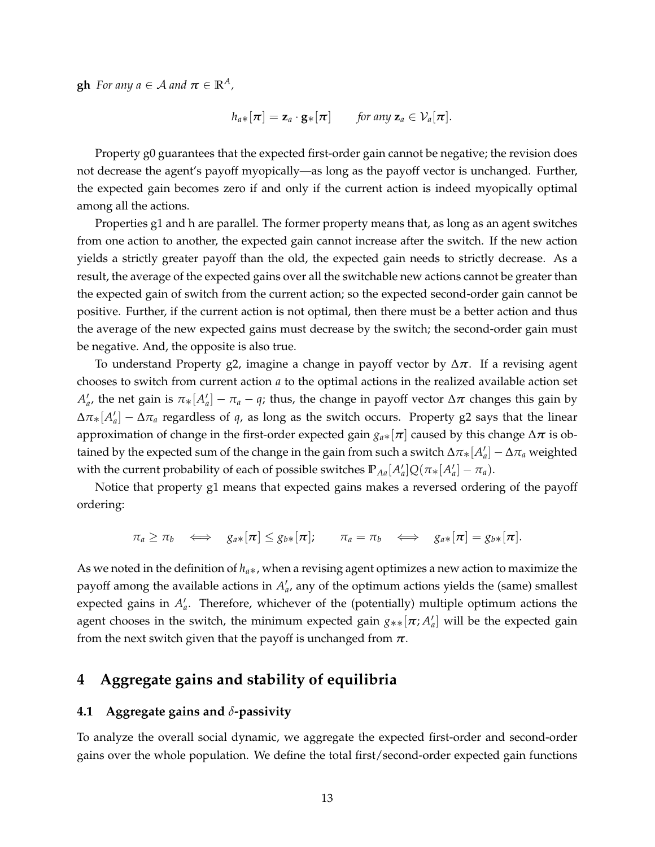**gh** *For any*  $a \in \mathcal{A}$  *and*  $\pi \in \mathbb{R}^{\mathcal{A}}$ *,* 

$$
h_{a*}[\pi] = \mathbf{z}_a \cdot \mathbf{g}_*[\pi] \quad \text{for any } \mathbf{z}_a \in \mathcal{V}_a[\pi].
$$

Property g0 guarantees that the expected first-order gain cannot be negative; the revision does not decrease the agent's payoff myopically—as long as the payoff vector is unchanged. Further, the expected gain becomes zero if and only if the current action is indeed myopically optimal among all the actions.

Properties g1 and h are parallel. The former property means that, as long as an agent switches from one action to another, the expected gain cannot increase after the switch. If the new action yields a strictly greater payoff than the old, the expected gain needs to strictly decrease. As a result, the average of the expected gains over all the switchable new actions cannot be greater than the expected gain of switch from the current action; so the expected second-order gain cannot be positive. Further, if the current action is not optimal, then there must be a better action and thus the average of the new expected gains must decrease by the switch; the second-order gain must be negative. And, the opposite is also true.

To understand Property g2, imagine a change in payoff vector by ∆*π*. If a revising agent chooses to switch from current action *a* to the optimal actions in the realized available action set  $A'_a$ , the net gain is  $\pi_*[A'_a] - \pi_a - q$ ; thus, the change in payoff vector  $\Delta \pi$  changes this gain by  $\Delta \pi_*[A'_a] - \Delta \pi_a$  regardless of *q*, as long as the switch occurs. Property g2 says that the linear approximation of change in the first-order expected gain  $g_{a*}[\pi]$  caused by this change  $\Delta \pi$  is obtained by the expected sum of the change in the gain from such a switch  $\Delta\pi_*[A_a'] - \Delta\pi_a$  weighted with the current probability of each of possible switches  $\mathbb{P}_{Aa}[A'_a]Q(\pi_*[A'_a]-\pi_a)$ .

Notice that property g1 means that expected gains makes a reversed ordering of the payoff ordering:

$$
\pi_a \geq \pi_b \quad \Longleftrightarrow \quad g_{a*}[\pi] \leq g_{b*}[\pi]; \qquad \pi_a = \pi_b \quad \Longleftrightarrow \quad g_{a*}[\pi] = g_{b*}[\pi].
$$

As we noted in the definition of *ha*∗, when a revising agent optimizes a new action to maximize the payoff among the available actions in  $A'_{a}$ , any of the optimum actions yields the (same) smallest expected gains in  $A'_a$ . Therefore, whichever of the (potentially) multiple optimum actions the agent chooses in the switch, the minimum expected gain  $g_{**}[\pi; A'_a]$  will be the expected gain from the next switch given that the payoff is unchanged from  $\pi$ .

# <span id="page-12-0"></span>**4 Aggregate gains and stability of equilibria**

## **4.1 Aggregate gains and** *δ***-passivity**

To analyze the overall social dynamic, we aggregate the expected first-order and second-order gains over the whole population. We define the total first/second-order expected gain functions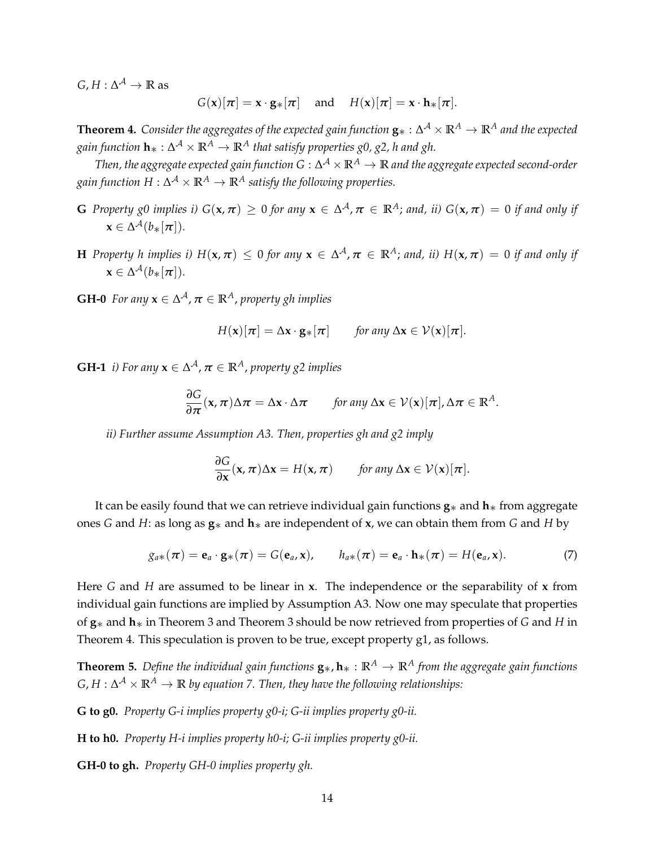$G, H: \Delta^{\mathcal{A}} \to \mathbb{R}$  as

$$
G(\mathbf{x})[\pi] = \mathbf{x} \cdot \mathbf{g} \cdot [\pi]
$$
 and  $H(\mathbf{x})[\pi] = \mathbf{x} \cdot \mathbf{h} \cdot [\pi]$ .

<span id="page-13-0"></span> $\bf{Theorem~4.}$  *Consider the aggregates of the expected gain function*  ${\bf g}_*: \Delta^\mathcal{A}\times\mathbb{R}^A\to\mathbb{R}^A$  *and the expected gain function* **h**∗ : ∆ <sup>A</sup> × **R***<sup>A</sup>* → **R***<sup>A</sup> that satisfy properties g0, g2, h and gh.*

*Then, the aggregate expected gain function G* : ∆ <sup>A</sup> × **R***<sup>A</sup>* → **R** *and the aggregate expected second-order*  $g$ ain function  $H : \Delta^\mathcal{A} \times \mathbb{R}^A \to \mathbb{R}^A$  satisfy the following properties.

- **G** Property g0 implies i)  $G(\mathbf{x}, \pi) \ge 0$  for any  $\mathbf{x} \in \Delta^{\mathcal{A}}$ ,  $\pi \in \mathbb{R}^{\mathcal{A}}$ ; and, ii)  $G(\mathbf{x}, \pi) = 0$  if and only if  $\mathbf{x} \in \Delta^{\mathcal{A}}(b_{\ast}[\pi]).$
- $H$  *Property h implies i)*  $H(x,\pi) \leq 0$  for any  $x \in \Delta^{\mathcal{A}}, \pi \in \mathbb{R}^{\mathcal{A}}$ ; and, ii)  $H(x,\pi) = 0$  if and only if  $\mathbf{x} \in \Delta^{\mathcal{A}}(b_{\ast}[\pi]).$

**GH-0** For any  $\mathbf{x} \in \Delta^{\mathcal{A}}$ ,  $\boldsymbol{\pi} \in \mathbb{R}^{\mathcal{A}}$ , property gh implies

$$
H(\mathbf{x})[\boldsymbol{\pi}] = \Delta \mathbf{x} \cdot \mathbf{g}_*[\boldsymbol{\pi}] \quad \text{for any } \Delta \mathbf{x} \in \mathcal{V}(\mathbf{x})[\boldsymbol{\pi}].
$$

**GH-1** *i)* For any  $\mathbf{x} \in \Delta^{\mathcal{A}}$ ,  $\boldsymbol{\pi} \in \mathbb{R}^{\mathcal{A}}$ , property g2 implies

$$
\frac{\partial G}{\partial \pi}(x,\pi)\Delta \pi = \Delta x \cdot \Delta \pi \quad \text{for any } \Delta x \in \mathcal{V}(x)[\pi], \Delta \pi \in \mathbb{R}^A.
$$

*ii) Further assume Assumption [A3.](#page-8-4) Then, properties gh and g2 imply*

$$
\frac{\partial G}{\partial x}(x,\pi)\Delta x = H(x,\pi) \quad \text{for any } \Delta x \in \mathcal{V}(x)[\pi].
$$

It can be easily found that we can retrieve individual gain functions **g**∗ and **h**∗ from aggregate ones *G* and *H*: as long as **g**∗ and **h**∗ are independent of **x**, we can obtain them from *G* and *H* by

<span id="page-13-1"></span>
$$
g_{a*}(\pi) = \mathbf{e}_a \cdot \mathbf{g}_*(\pi) = G(\mathbf{e}_a, \mathbf{x}), \qquad h_{a*}(\pi) = \mathbf{e}_a \cdot \mathbf{h}_*(\pi) = H(\mathbf{e}_a, \mathbf{x}). \tag{7}
$$

Here *G* and *H* are assumed to be linear in **x**. The independence or the separability of **x** from individual gain functions are implied by Assumption [A3.](#page-8-4) Now one may speculate that properties of **g**∗ and **h**∗ in Theorem [3](#page-11-0) and Theorem [3](#page-11-0) should be now retrieved from properties of *G* and *H* in Theorem [4.](#page-13-0) This speculation is proven to be true, except property g1, as follows.

**Theorem 5.** *Define the individual gain functions*  $\mathbf{g}_*, \mathbf{h}_* : \mathbb{R}^A \to \mathbb{R}^A$  *from the aggregate gain functions*  $G,H:\Delta^\mathcal{A}\times\mathbb{R}^\mathcal{A}\to\mathbb{R}$  by equation [7.](#page-13-1) Then, they have the following relationships:

**G to g0.** *Property G-i implies property g0-i; G-ii implies property g0-ii.*

**H to h0.** *Property H-i implies property h0-i; G-ii implies property g0-ii.*

**GH-0 to gh.** *Property GH-0 implies property gh.*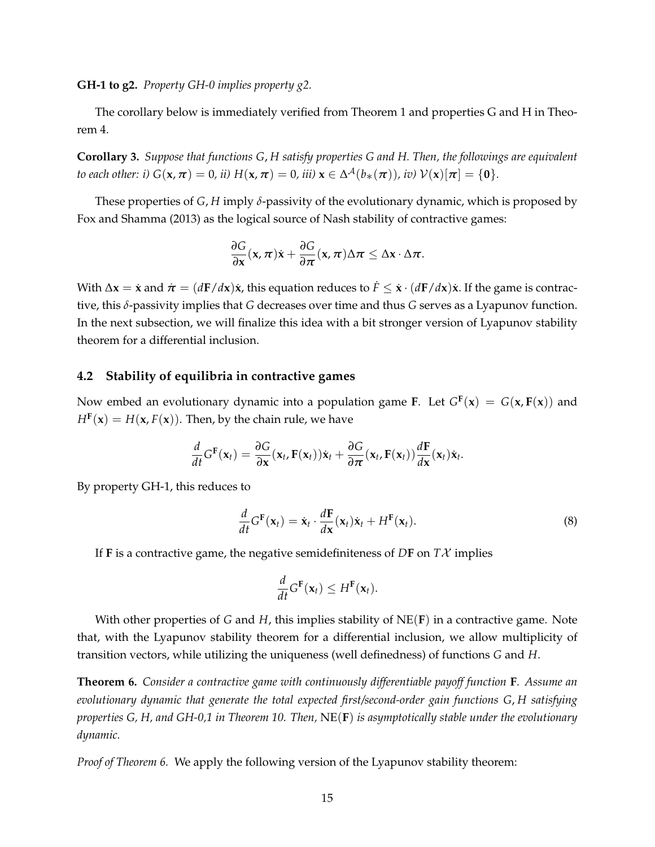**GH-1 to g2.** *Property GH-0 implies property g2.*

The corollary below is immediately verified from Theorem [1](#page-10-2) and properties G and H in Theorem [4.](#page-13-0)

**Corollary 3.** *Suppose that functions G*, *H satisfy properties G and H. Then, the followings are equivalent to each other: i)*  $G(\mathbf{x}, \pi) = 0$ *, ii)*  $H(\mathbf{x}, \pi) = 0$ *, iii)*  $\mathbf{x} \in \Delta^{\mathcal{A}}(b_{*}(\pi))$ *, iv)*  $\mathcal{V}(\mathbf{x})[\pi] = \{\mathbf{0}\}.$ 

These properties of  $G$ ,  $H$  imply  $\delta$ -passivity of the evolutionary dynamic, which is proposed by [Fox and Shamma](#page-35-3) [\(2013\)](#page-35-3) as the logical source of Nash stability of contractive games:

$$
\frac{\partial G}{\partial x}(x,\pi)\dot{x}+\frac{\partial G}{\partial \pi}(x,\pi)\Delta \pi\leq \Delta x\cdot \Delta \pi.
$$

With  $\Delta x = \dot{x}$  and  $\dot{\pi} = (d\mathbf{F}/d\mathbf{x})\dot{x}$ , this equation reduces to  $\dot{F} \leq \dot{x} \cdot (d\mathbf{F}/d\mathbf{x})\dot{x}$ . If the game is contractive, this *δ*-passivity implies that *G* decreases over time and thus *G* serves as a Lyapunov function. In the next subsection, we will finalize this idea with a bit stronger version of Lyapunov stability theorem for a differential inclusion.

### **4.2 Stability of equilibria in contractive games**

Now embed an evolutionary dynamic into a population game **F**. Let  $G^{\mathbf{F}}(\mathbf{x}) = G(\mathbf{x}, \mathbf{F}(\mathbf{x}))$  and  $H^{\text{F}}(\textbf{x}) = H(\textbf{x}, F(\textbf{x}))$ . Then, by the chain rule, we have

$$
\frac{d}{dt}G^{\mathbf{F}}(\mathbf{x}_t) = \frac{\partial G}{\partial \mathbf{x}}(\mathbf{x}_t, \mathbf{F}(\mathbf{x}_t))\dot{\mathbf{x}}_t + \frac{\partial G}{\partial \pi}(\mathbf{x}_t, \mathbf{F}(\mathbf{x}_t))\frac{d\mathbf{F}}{d\mathbf{x}}(\mathbf{x}_t)\dot{\mathbf{x}}_t.
$$

By property GH-1, this reduces to

<span id="page-14-1"></span>
$$
\frac{d}{dt}G^{\mathbf{F}}(\mathbf{x}_{t}) = \dot{\mathbf{x}}_{t} \cdot \frac{d\mathbf{F}}{d\mathbf{x}}(\mathbf{x}_{t})\dot{\mathbf{x}}_{t} + H^{\mathbf{F}}(\mathbf{x}_{t}).
$$
\n(8)

If **F** is a contractive game, the negative semidefiniteness of  $DF$  on  $T\mathcal{X}$  implies

$$
\frac{d}{dt}G^{\mathbf{F}}(\mathbf{x}_t) \leq H^{\mathbf{F}}(\mathbf{x}_t).
$$

With other properties of *G* and *H*, this implies stability of NE(**F**) in a contractive game. Note that, with the Lyapunov stability theorem for a differential inclusion, we allow multiplicity of transition vectors, while utilizing the uniqueness (well definedness) of functions *G* and *H*.

<span id="page-14-0"></span>**Theorem 6.** *Consider a contractive game with continuously differentiable payoff function* **F***. Assume an evolutionary dynamic that generate the total expected first/second-order gain functions G*, *H satisfying properties G, H, and GH-0,1 in Theorem [10.](#page-20-0) Then,* NE(**F**) *is asymptotically stable under the evolutionary dynamic.*

<span id="page-14-2"></span>*Proof of Theorem [6.](#page-14-0)* We apply the following version of the Lyapunov stability theorem: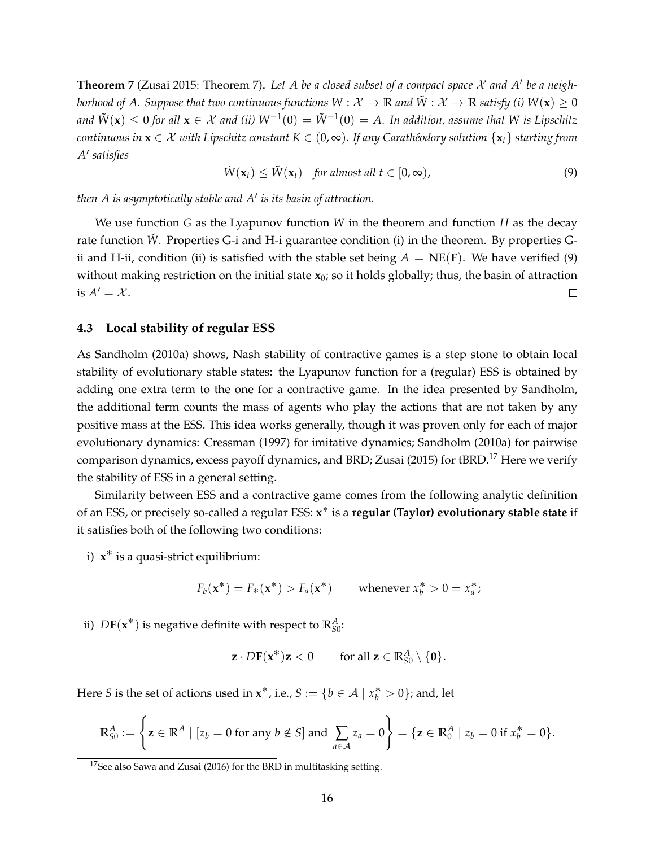**Theorem 7** [\(Zusai 2015:](#page-36-0) Theorem 7). Let A be a closed subset of a compact space  $X$  and  $A'$  be a neigh*borhood of A. Suppose that two continuous functions*  $W : \mathcal{X} \to \mathbb{R}$  and  $\tilde{W} : \mathcal{X} \to \mathbb{R}$  *satisfy (i)*  $W(\mathbf{x}) \geq 0$ and  $\tilde{W}({\bf x})\leq 0$  for all  ${\bf x}\in\mathcal{X}$  and (ii)  $W^{-1}(0)=\tilde{W}^{-1}(0)=A.$  In addition, assume that  $W$  is Lipschitz *continuous in*  $\mathbf{x} \in \mathcal{X}$  *with Lipschitz constant*  $K \in (0, \infty)$ *. If any Carathéodory solution*  $\{\mathbf{x}_t\}$  *starting from A* 0 *satisfies*

<span id="page-15-0"></span>
$$
\dot{W}(\mathbf{x}_t) \leq \tilde{W}(\mathbf{x}_t) \quad \text{for almost all } t \in [0, \infty), \tag{9}
$$

*then A is asymptotically stable and A*<sup>0</sup> *is its basin of attraction.*

We use function *G* as the Lyapunov function *W* in the theorem and function *H* as the decay rate function  $\tilde{W}$ . Properties G-i and H-i guarantee condition (i) in the theorem. By properties Gii and H-ii, condition (ii) is satisfied with the stable set being  $A = NE(F)$ . We have verified [\(9\)](#page-15-0) without making restriction on the initial state **x**0; so it holds globally; thus, the basin of attraction is  $A' = \mathcal{X}$ .  $\Box$ 

### **4.3 Local stability of regular ESS**

As [Sandholm](#page-35-8) [\(2010a\)](#page-35-8) shows, Nash stability of contractive games is a step stone to obtain local stability of evolutionary stable states: the Lyapunov function for a (regular) ESS is obtained by adding one extra term to the one for a contractive game. In the idea presented by Sandholm, the additional term counts the mass of agents who play the actions that are not taken by any positive mass at the ESS. This idea works generally, though it was proven only for each of major evolutionary dynamics: [Cressman](#page-35-9) [\(1997\)](#page-35-9) for imitative dynamics; [Sandholm](#page-35-8) [\(2010a\)](#page-35-8) for pairwise comparison dynamics, excess payoff dynamics, and BRD; [Zusai](#page-36-0) [\(2015\)](#page-36-0) for tBRD.<sup>[17](#page-15-1)</sup> Here we verify the stability of ESS in a general setting.

Similarity between ESS and a contractive game comes from the following analytic definition of an ESS, or precisely so-called a regular ESS: **x** ∗ is a **regular (Taylor) evolutionary stable state** if it satisfies both of the following two conditions:

i) **x** ∗ is a quasi-strict equilibrium:

$$
F_b(\mathbf{x}^*) = F_*(\mathbf{x}^*) > F_a(\mathbf{x}^*) \qquad \text{whenever } x_b^* > 0 = x_a^*;
$$

ii)  $D\mathbf{F}(\mathbf{x}^*)$  is negative definite with respect to  $\mathbb{R}^A_{S0}$ :

$$
\mathbf{z} \cdot D\mathbf{F}(\mathbf{x}^*)\mathbf{z} < 0 \qquad \text{for all } \mathbf{z} \in \mathbb{R}_{S0}^A \setminus \{\mathbf{0}\}.
$$

Here *S* is the set of actions used in  $\mathbf{x}^*$ , i.e.,  $S := \{b \in \mathcal{A} \mid x^*_b > 0\}$ ; and, let

$$
\mathbb{R}_{S0}^A := \left\{ \mathbf{z} \in \mathbb{R}^A \mid [z_b = 0 \text{ for any } b \notin S] \text{ and } \sum_{a \in \mathcal{A}} z_a = 0 \right\} = \{ \mathbf{z} \in \mathbb{R}_0^A \mid z_b = 0 \text{ if } x_b^* = 0 \}.
$$

<span id="page-15-1"></span><sup>&</sup>lt;sup>17</sup>See also [Sawa and Zusai](#page-36-1) [\(2016\)](#page-36-1) for the BRD in multitasking setting.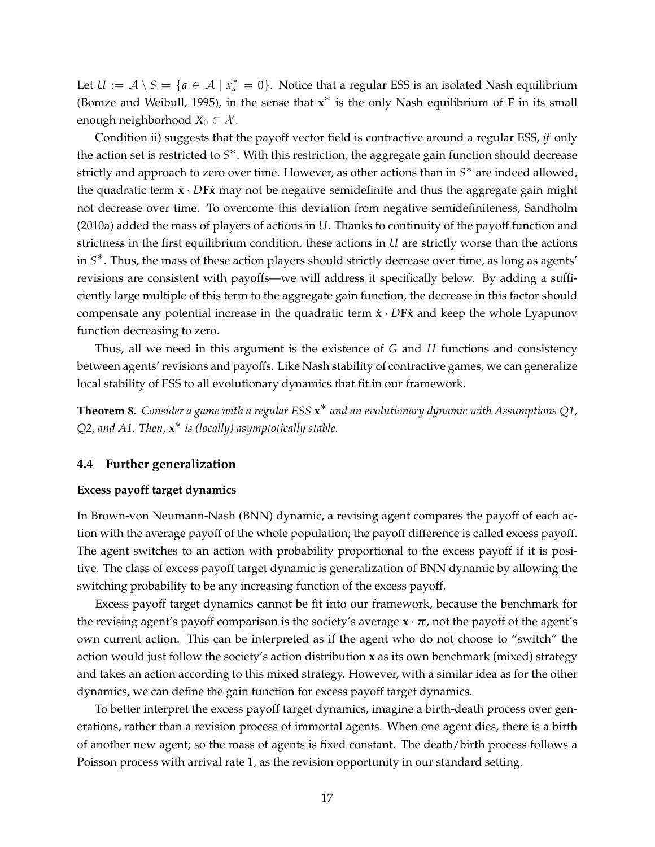Let  $U := \mathcal{A} \setminus S = \{a \in \mathcal{A} \mid x_a^* = 0\}$ . Notice that a regular ESS is an isolated Nash equilibrium [\(Bomze and Weibull, 1995\)](#page-35-10), in the sense that **x** ∗ is the only Nash equilibrium of **<sup>F</sup>** in its small enough neighborhood  $X_0 \subset \mathcal{X}$ .

Condition ii) suggests that the payoff vector field is contractive around a regular ESS, *if* only the action set is restricted to S<sup>\*</sup>. With this restriction, the aggregate gain function should decrease strictly and approach to zero over time. However, as other actions than in *S* ∗ are indeed allowed, the quadratic term  $\dot{x} \cdot D$ **F** $\dot{x}$  may not be negative semidefinite and thus the aggregate gain might not decrease over time. To overcome this deviation from negative semidefiniteness, [Sandholm](#page-35-8) [\(2010a\)](#page-35-8) added the mass of players of actions in *U*. Thanks to continuity of the payoff function and strictness in the first equilibrium condition, these actions in *U* are strictly worse than the actions in *S* ∗. Thus, the mass of these action players should strictly decrease over time, as long as agents' revisions are consistent with payoffs—we will address it specifically below. By adding a sufficiently large multiple of this term to the aggregate gain function, the decrease in this factor should compensate any potential increase in the quadratic term  $\dot{x} \cdot D$ **F** $\dot{x}$  and keep the whole Lyapunov function decreasing to zero.

Thus, all we need in this argument is the existence of *G* and *H* functions and consistency between agents' revisions and payoffs. Like Nash stability of contractive games, we can generalize local stability of ESS to all evolutionary dynamics that fit in our framework.

<span id="page-16-1"></span>**Theorem 8.** *Consider a game with a regular ESS* **x** ∗ *and an evolutionary dynamic with Assumptions [Q1,](#page-8-1) [Q2,](#page-8-2) and [A1.](#page-8-0) Then,* **x** ∗ *is (locally) asymptotically stable.*

### <span id="page-16-0"></span>**4.4 Further generalization**

#### **Excess payoff target dynamics**

In Brown-von Neumann-Nash (BNN) dynamic, a revising agent compares the payoff of each action with the average payoff of the whole population; the payoff difference is called excess payoff. The agent switches to an action with probability proportional to the excess payoff if it is positive. The class of excess payoff target dynamic is generalization of BNN dynamic by allowing the switching probability to be any increasing function of the excess payoff.

Excess payoff target dynamics cannot be fit into our framework, because the benchmark for the revising agent's payoff comparison is the society's average  $\mathbf{x} \cdot \mathbf{r}$ , not the payoff of the agent's own current action. This can be interpreted as if the agent who do not choose to "switch" the action would just follow the society's action distribution **x** as its own benchmark (mixed) strategy and takes an action according to this mixed strategy. However, with a similar idea as for the other dynamics, we can define the gain function for excess payoff target dynamics.

To better interpret the excess payoff target dynamics, imagine a birth-death process over generations, rather than a revision process of immortal agents. When one agent dies, there is a birth of another new agent; so the mass of agents is fixed constant. The death/birth process follows a Poisson process with arrival rate 1, as the revision opportunity in our standard setting.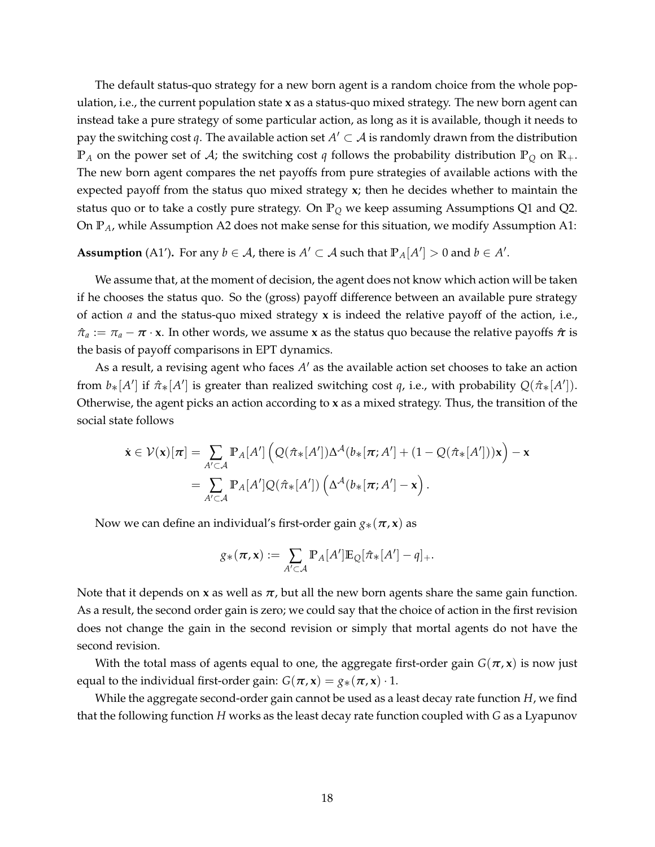The default status-quo strategy for a new born agent is a random choice from the whole population, i.e., the current population state **x** as a status-quo mixed strategy. The new born agent can instead take a pure strategy of some particular action, as long as it is available, though it needs to pay the switching cost *q*. The available action set  $A' \subset A$  is randomly drawn from the distribution  $\mathbb{P}_A$  on the power set of A; the switching cost *q* follows the probability distribution  $\mathbb{P}_Q$  on  $\mathbb{R}_+$ . The new born agent compares the net payoffs from pure strategies of available actions with the expected payoff from the status quo mixed strategy **x**; then he decides whether to maintain the status quo or to take a costly pure strategy. On **P***<sup>Q</sup>* we keep assuming Assumptions [Q1](#page-8-1) and [Q2.](#page-8-2) On **P***A*, while Assumption [A2](#page-8-3) does not make sense for this situation, we modify Assumption [A1:](#page-8-0)

**Assumption** (A1<sup>'</sup>). For any  $b \in A$ , there is  $A' \subset A$  such that  $\mathbb{P}_A[A'] > 0$  and  $b \in A'$ .

We assume that, at the moment of decision, the agent does not know which action will be taken if he chooses the status quo. So the (gross) payoff difference between an available pure strategy of action *a* and the status-quo mixed strategy **x** is indeed the relative payoff of the action, i.e.,  $\hat{\pi}_a := \pi_a - \pi \cdot x$ . In other words, we assume x as the status quo because the relative payoffs  $\hat{\pi}$  is the basis of payoff comparisons in EPT dynamics.

As a result, a revising agent who faces A' as the available action set chooses to take an action from  $b_*[A']$  if  $\hat{\pi}_*[A']$  is greater than realized switching cost *q*, i.e., with probability  $Q(\hat{\pi}_*[A'])$ . Otherwise, the agent picks an action according to **x** as a mixed strategy. Thus, the transition of the social state follows

$$
\dot{\mathbf{x}} \in \mathcal{V}(\mathbf{x})[\boldsymbol{\pi}] = \sum_{A' \subset \mathcal{A}} \mathbb{P}_A[A'] \left( Q(\hat{\pi}_*[A']) \Delta^{\mathcal{A}}(b_*[\boldsymbol{\pi}; A'] + (1 - Q(\hat{\pi}_*[A']) ) \mathbf{x} \right) - \mathbf{x} \n= \sum_{A' \subset \mathcal{A}} \mathbb{P}_A[A'] Q(\hat{\pi}_*[A']) \left( \Delta^{\mathcal{A}}(b_*[\boldsymbol{\pi}; A'] - \mathbf{x} \right).
$$

Now we can define an individual's first-order gain  $g_*(\pi, x)$  as

$$
g_*(\pi, \mathbf{x}) := \sum_{A' \subset \mathcal{A}} \mathbb{P}_A[A'] \mathbb{E}_{Q}[\hat{\pi}_*[A'] - q]_+.
$$

Note that it depends on **x** as well as  $\pi$ , but all the new born agents share the same gain function. As a result, the second order gain is zero; we could say that the choice of action in the first revision does not change the gain in the second revision or simply that mortal agents do not have the second revision.

With the total mass of agents equal to one, the aggregate first-order gain  $G(\pi, x)$  is now just equal to the individual first-order gain:  $G(\pi, \mathbf{x}) = g_*(\pi, \mathbf{x}) \cdot 1$ .

While the aggregate second-order gain cannot be used as a least decay rate function *H*, we find that the following function *H* works as the least decay rate function coupled with *G* as a Lyapunov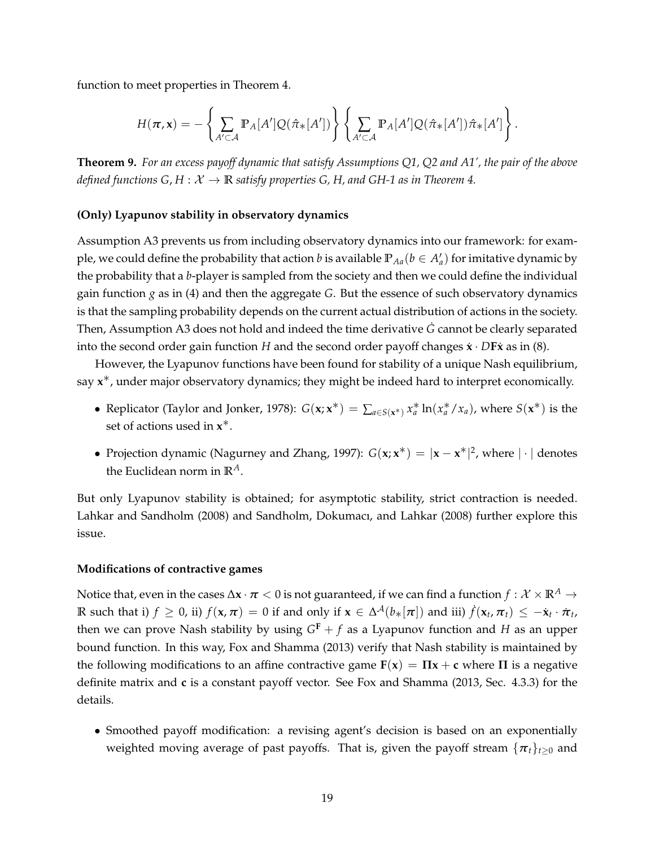function to meet properties in Theorem [4.](#page-13-0)

$$
H(\boldsymbol{\pi},\mathbf{x}) = -\left\{\sum_{A'\subset\mathcal{A}}\mathbb{P}_A[A']Q(\hat{\pi}_*[A'])\right\}\left\{\sum_{A'\subset\mathcal{A}}\mathbb{P}_A[A']Q(\hat{\pi}_*[A'])\hat{\pi}_*[A']\right\}.
$$

<span id="page-18-0"></span>**Theorem 9.** *For an excess payoff dynamic that satisfy Assumptions [Q1,](#page-8-1) [Q2](#page-8-2) and [A1'](#page-8-0), the pair of the above defined functions G, H :*  $X \rightarrow \mathbb{R}$  *satisfy properties G, H, and GH-1 as in Theorem [4.](#page-13-0)* 

#### **(Only) Lyapunov stability in observatory dynamics**

Assumption [A3](#page-8-4) prevents us from including observatory dynamics into our framework: for example, we could define the probability that action  $b$  is available  $\mathbb{P}_{Aa}(b\in A'_a)$  for imitative dynamic by the probability that a *b*-player is sampled from the society and then we could define the individual gain function *g* as in [\(4\)](#page-10-3) and then the aggregate *G*. But the essence of such observatory dynamics is that the sampling probability depends on the current actual distribution of actions in the society. Then, Assumption [A3](#page-8-4) does not hold and indeed the time derivative *G* cannot be clearly separated into the second order gain function *H* and the second order payoff changes  $\dot{\mathbf{x}} \cdot D\mathbf{F}\dot{\mathbf{x}}$  as in [\(8\)](#page-14-1).

However, the Lyapunov functions have been found for stability of a unique Nash equilibrium, say **x** ∗, under major observatory dynamics; they might be indeed hard to interpret economically.

- Replicator [\(Taylor and Jonker, 1978\)](#page-36-5):  $G(x; x^*) = \sum_{a \in S(x^*)} x_a^* \ln(x_a^*/x_a)$ , where  $S(x^*)$  is the set of actions used in **x** ∗.
- Projection dynamic [\(Nagurney and Zhang, 1997\)](#page-35-11):  $G(x; x^*) = |x x^*|^2$ , where  $|\cdot|$  denotes the Euclidean norm in **R***A*.

But only Lyapunov stability is obtained; for asymptotic stability, strict contraction is needed. [Lahkar and Sandholm](#page-35-12) [\(2008\)](#page-35-12) and [Sandholm, Dokumacı, and Lahkar](#page-36-6) [\(2008\)](#page-36-6) further explore this issue.

#### **Modifications of contractive games**

Notice that, even in the cases  $\Delta x \cdot \pi < 0$  is not guaranteed, if we can find a function  $f: \mathcal{X} \times \mathbb{R}^A \to$ R such that i)  $f \ge 0$ , ii)  $f(\mathbf{x}, \boldsymbol{\pi}) = 0$  if and only if  $\mathbf{x} \in \Delta^{\mathcal{A}}(b_{*}[\boldsymbol{\pi}])$  and iii)  $\dot{f}(\mathbf{x}_t, \boldsymbol{\pi}_t) \le -\dot{\mathbf{x}}_t \cdot \dot{\boldsymbol{\pi}}_t$ , then we can prove Nash stability by using  $G^F + f$  as a Lyapunov function and H as an upper bound function. In this way, [Fox and Shamma](#page-35-3) [\(2013\)](#page-35-3) verify that Nash stability is maintained by the following modifications to an affine contractive game  $F(x) = \Pi x + c$  where  $\Pi$  is a negative definite matrix and **c** is a constant payoff vector. See [Fox and Shamma](#page-35-3) [\(2013,](#page-35-3) Sec. 4.3.3) for the details.

• Smoothed payoff modification: a revising agent's decision is based on an exponentially weighted moving average of past payoffs. That is, given the payoff stream  $\{\pi_t\}_{t>0}$  and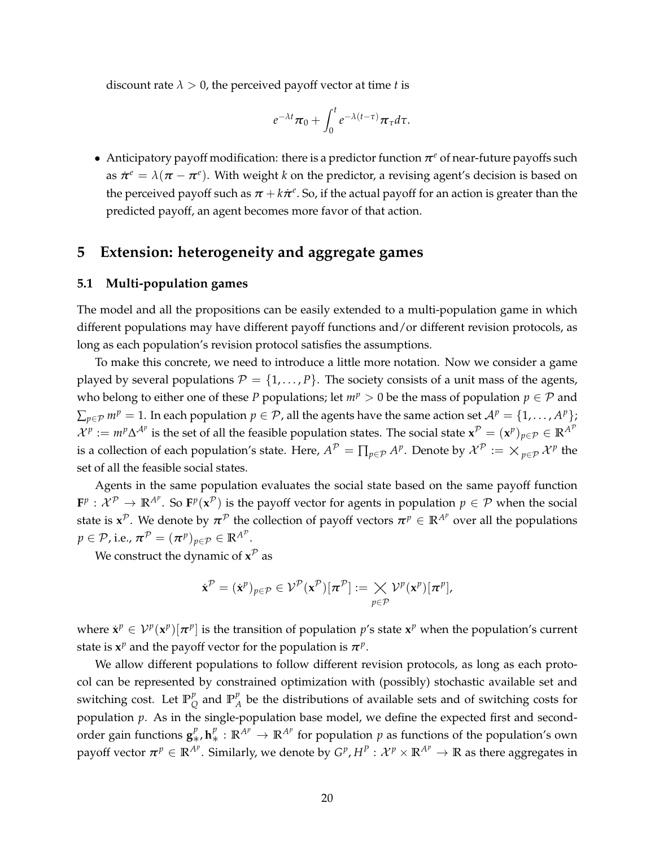discount rate  $\lambda > 0$ , the perceived payoff vector at time *t* is

$$
e^{-\lambda t}\pi_0+\int_0^t e^{-\lambda(t-\tau)}\pi_\tau d\tau.
$$

• Anticipatory payoff modification: there is a predictor function  $\pi^e$  of near-future payoffs such as  $\dot{\pi}^e = \lambda(\pi - \pi^e)$ . With weight *k* on the predictor, a revising agent's decision is based on the perceived payoff such as  $\pi + k\dot{\pi}^e$ . So, if the actual payoff for an action is greater than the predicted payoff, an agent becomes more favor of that action.

# <span id="page-19-0"></span>**5 Extension: heterogeneity and aggregate games**

#### **5.1 Multi-population games**

The model and all the propositions can be easily extended to a multi-population game in which different populations may have different payoff functions and/or different revision protocols, as long as each population's revision protocol satisfies the assumptions.

To make this concrete, we need to introduce a little more notation. Now we consider a game played by several populations  $\mathcal{P} = \{1, ..., P\}$ . The society consists of a unit mass of the agents, who belong to either one of these *P* populations; let  $m^p > 0$  be the mass of population  $p \in \mathcal{P}$  and  $\sum_{p\in\mathcal{P}}m^p=1.$  In each population  $p\in\mathcal{P}$ , all the agents have the same action set  $\mathcal{A}^p=\{1,\ldots,A^p\};$  $\mathcal{X}^p := m^p \Delta^{\mathcal{A}^p}$  is the set of all the feasible population states. The social state  $\mathbf{x}^{\mathcal{P}} = (\mathbf{x}^p)_{p \in \mathcal{P}} \in \mathbb{R}^{\mathcal{A}^p}$ is a collection of each population's state. Here,  $A^{\mathcal{P}}=\prod_{p\in\mathcal{P}}A^p.$  Denote by  $\mathcal{X}^{\mathcal{P}}:=\times_{p\in\mathcal{P}}\mathcal{X}^p$  the set of all the feasible social states.

Agents in the same population evaluates the social state based on the same payoff function  $\mathbf{F}^p: \mathcal{X}^p \to \mathbb{R}^{A^p}$ . So  $\mathbf{F}^p(\mathbf{x}^p)$  is the payoff vector for agents in population  $p \in \mathcal{P}$  when the social state is  $x^{\mathcal{P}}$ . We denote by  $\pi^{\mathcal{P}}$  the collection of payoff vectors  $\pi^p\in\mathbb{R}^{A^p}$  over all the populations  $p\in\mathcal{P}$ , i.e.,  $\boldsymbol{\pi}^{\mathcal{P}}=(\boldsymbol{\pi}^{p})_{p\in\mathcal{P}}\in\mathbb{R}^{A^{\mathcal{P}}}.$ 

We construct the dynamic of  $\mathbf{x}^{\mathcal{P}}$  as

$$
\dot{\mathbf{x}}^{\mathcal{P}} = (\dot{\mathbf{x}}^p)_{p \in \mathcal{P}} \in \mathcal{V}^{\mathcal{P}}(\mathbf{x}^{\mathcal{P}})[\pi^{\mathcal{P}}] := \mathcal{X} \mathcal{V}^p(\mathbf{x}^p)[\pi^p],
$$

where  $\dot{x}^p \in V^p(\mathbf{x}^p)[\pi^p]$  is the transition of population  $p$ 's state  $\mathbf{x}^p$  when the population's current state is  $x^p$  and the payoff vector for the population is  $\pi^p$ .

We allow different populations to follow different revision protocols, as long as each protocol can be represented by constrained optimization with (possibly) stochastic available set and switching cost. Let  $\mathbb{P}_{\mathcal{C}}^p$  $\frac{p}{Q}$  and  $\mathbb{P}_{A}^{p}$  $\mathcal{A}_A^{\mathcal{P}}$  be the distributions of available sets and of switching costs for population  $p$ . As in the single-population base model, we define the expected first and secondorder gain functions  $g^p_*, h^p_* : \mathbb{R}^{A^p} \to \mathbb{R}^{A^p}$  for population  $p$  as functions of the population's own payoff vector  $\bm{\pi}^p\in\mathbb{R}^{A^p}.$  Similarly, we denote by  $G^p,H^p:\mathcal{X}^p\times\mathbb{R}^{A^p}\to\mathbb{R}$  as there aggregates in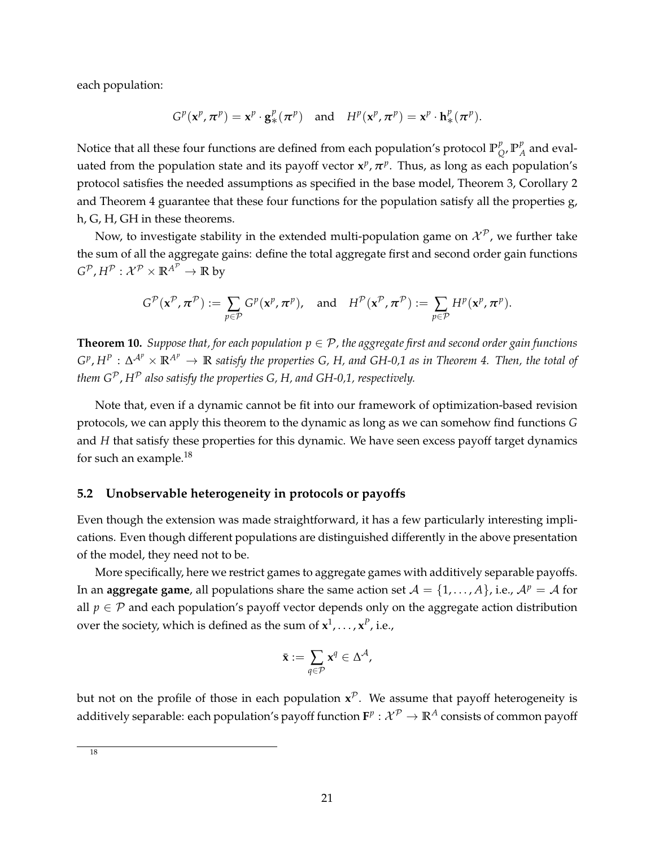each population:

$$
G^p(\mathbf{x}^p, \boldsymbol{\pi}^p) = \mathbf{x}^p \cdot \mathbf{g}_{*}^p(\boldsymbol{\pi}^p) \quad \text{and} \quad H^p(\mathbf{x}^p, \boldsymbol{\pi}^p) = \mathbf{x}^p \cdot \mathbf{h}_{*}^p(\boldsymbol{\pi}^p).
$$

Notice that all these four functions are defined from each population's protocol  $\mathbb{P}_{\mathcal{C}}^p$  $_{Q}^{p}$ ,  $\mathbb{P}_{A}^{p}$  $_A^p$  and evaluated from the population state and its payoff vector  $x^p$ ,  $\pi^p$ . Thus, as long as each population's protocol satisfies the needed assumptions as specified in the base model, Theorem [3,](#page-11-0) Corollary [2](#page-11-3) and Theorem [4](#page-13-0) guarantee that these four functions for the population satisfy all the properties g, h, G, H, GH in these theorems.

Now, to investigate stability in the extended multi-population game on  $\mathcal{X}^{\mathcal{P}}$ , we further take the sum of all the aggregate gains: define the total aggregate first and second order gain functions  $G^{\mathcal{P}}, H^{\mathcal{P}}: \mathcal{X}^{\mathcal{P}} \times \mathbb{R}^{A^{\mathcal{P}}} \to \mathbb{R}$  by

$$
G^{\mathcal{P}}(\mathbf{x}^{\mathcal{P}}, \pi^{\mathcal{P}}) := \sum_{p \in \mathcal{P}} G^p(\mathbf{x}^p, \pi^p), \text{ and } H^{\mathcal{P}}(\mathbf{x}^{\mathcal{P}}, \pi^{\mathcal{P}}) := \sum_{p \in \mathcal{P}} H^p(\mathbf{x}^p, \pi^p).
$$

<span id="page-20-0"></span>**Theorem 10.** *Suppose that, for each population*  $p \in \mathcal{P}$ *, the aggregate first and second order gain functions*  $G^p$ ,  $H^p$  :  $\Delta^{A^p}\times\mathbb{R}^{A^p}\to\mathbb{R}$  satisfy the properties G, H, and GH-0,1 as in Theorem [4.](#page-13-0) Then, the total of *them*  $G^P$ *,*  $H^P$  *also satisfy the properties G, H, and GH-0,1, respectively.* 

Note that, even if a dynamic cannot be fit into our framework of optimization-based revision protocols, we can apply this theorem to the dynamic as long as we can somehow find functions *G* and *H* that satisfy these properties for this dynamic. We have seen excess payoff target dynamics for such an example.<sup>[18](#page-20-1)</sup>

# **5.2 Unobservable heterogeneity in protocols or payoffs**

Even though the extension was made straightforward, it has a few particularly interesting implications. Even though different populations are distinguished differently in the above presentation of the model, they need not to be.

More specifically, here we restrict games to aggregate games with additively separable payoffs. In an **aggregate game**, all populations share the same action set  $A = \{1, ..., A\}$ , i.e.,  $A^p = A$  for all  $p \in \mathcal{P}$  and each population's payoff vector depends only on the aggregate action distribution over the society, which is defined as the sum of  $x^1, \ldots, x^P$ , i.e.,

$$
\bar{\mathbf{x}} := \sum_{q \in \mathcal{P}} \mathbf{x}^q \in \Delta^\mathcal{A},
$$

but not on the profile of those in each population **x** <sup>P</sup>. We assume that payoff heterogeneity is additively separable: each population's payoff function  $\mathbf{F}^p:\mathcal{X}^{\mathcal{P}}\to\mathbb{R}^A$  consists of common payoff

<span id="page-20-1"></span>18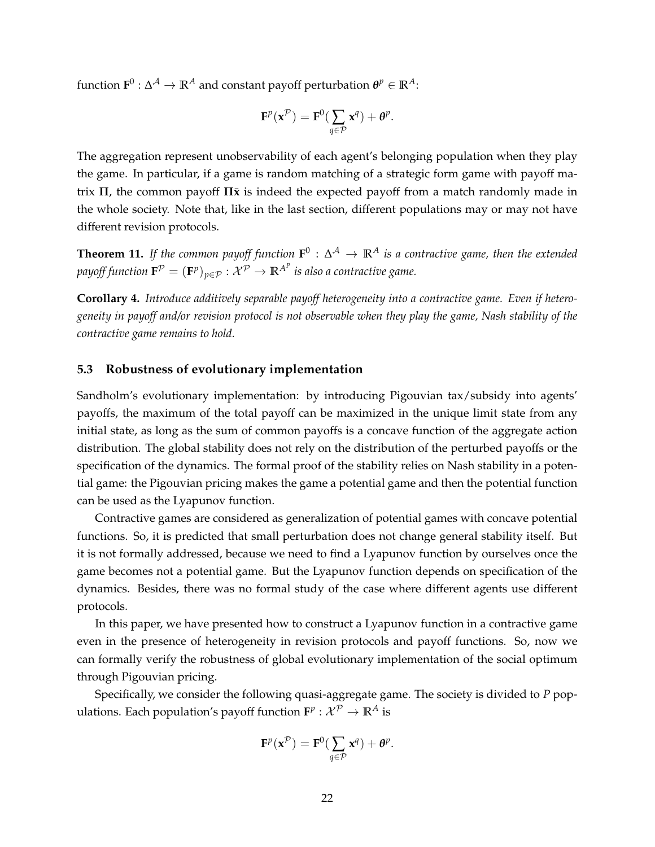${\bf f}$ unction  ${\bf F}^0: \Delta^\mathcal{A} \to \mathbb{R}^A$  and constant payoff perturbation  ${\bf \theta}^p \in \mathbb{R}^A$ :

$$
\mathbf{F}^p(\mathbf{x}^{\mathcal{P}}) = \mathbf{F}^0(\sum_{q \in \mathcal{P}} \mathbf{x}^q) + \theta^p.
$$

The aggregation represent unobservability of each agent's belonging population when they play the game. In particular, if a game is random matching of a strategic form game with payoff ma $trix$  Π, the common payoff  $\Pi\bar{x}$  is indeed the expected payoff from a match randomly made in the whole society. Note that, like in the last section, different populations may or may not have different revision protocols.

<span id="page-21-0"></span>**Theorem 11.** If the common payoff function  $F^0$  :  $\Delta^A \to \mathbb{R}^A$  is a contractive game, then the extended *payoff function*  $\mathbf{F}^\mathcal{P} = (\mathbf{F}^p)_{p \in \mathcal{P}}: \mathcal{X}^\mathcal{P} \to \mathbb{R}^{A^P}$  is also a contractive game.

**Corollary 4.** *Introduce additively separable payoff heterogeneity into a contractive game. Even if heterogeneity in payoff and/or revision protocol is not observable when they play the game, Nash stability of the contractive game remains to hold.*

### **5.3 Robustness of evolutionary implementation**

Sandholm's evolutionary implementation: by introducing Pigouvian tax/subsidy into agents' payoffs, the maximum of the total payoff can be maximized in the unique limit state from any initial state, as long as the sum of common payoffs is a concave function of the aggregate action distribution. The global stability does not rely on the distribution of the perturbed payoffs or the specification of the dynamics. The formal proof of the stability relies on Nash stability in a potential game: the Pigouvian pricing makes the game a potential game and then the potential function can be used as the Lyapunov function.

Contractive games are considered as generalization of potential games with concave potential functions. So, it is predicted that small perturbation does not change general stability itself. But it is not formally addressed, because we need to find a Lyapunov function by ourselves once the game becomes not a potential game. But the Lyapunov function depends on specification of the dynamics. Besides, there was no formal study of the case where different agents use different protocols.

In this paper, we have presented how to construct a Lyapunov function in a contractive game even in the presence of heterogeneity in revision protocols and payoff functions. So, now we can formally verify the robustness of global evolutionary implementation of the social optimum through Pigouvian pricing.

Specifically, we consider the following quasi-aggregate game. The society is divided to *P* populations. Each population's payoff function  $\mathbf{F}^p: \mathcal{X}^{\mathcal{P}} \to \mathbb{R}^A$  is

$$
\mathbf{F}^p(\mathbf{x}^{\mathcal{P}}) = \mathbf{F}^0(\sum_{q \in \mathcal{P}} \mathbf{x}^q) + \boldsymbol{\theta}^p.
$$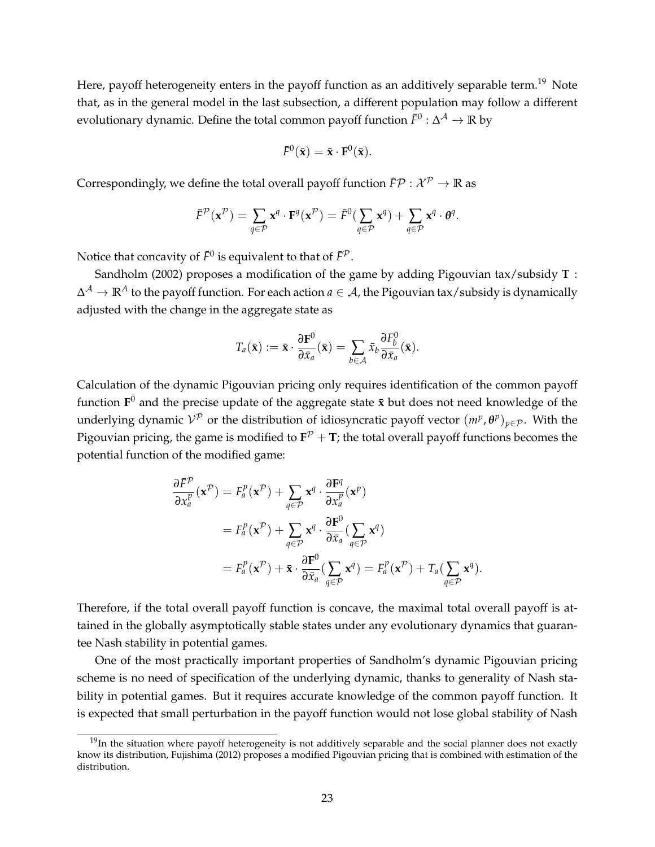Here, payoff heterogeneity enters in the payoff function as an additively separable term.<sup>[19](#page-22-0)</sup> Note that, as in the general model in the last subsection, a different population may follow a different evolutionary dynamic. Define the total common payoff function  $\bar{F}^0$  :  $\Delta^\mathcal{A}\to\mathbb{R}$  by

$$
\bar{F}^0(\bar{\mathbf{x}}) = \bar{\mathbf{x}} \cdot \mathbf{F}^0(\bar{\mathbf{x}}).
$$

Correspondingly, we define the total overall payoff function  $\bar{F}P : \mathcal{X}^P \to \mathbb{R}$  as

$$
\bar{F}^{\mathcal{P}}(\mathbf{x}^{\mathcal{P}}) = \sum_{q \in \mathcal{P}} \mathbf{x}^q \cdot \mathbf{F}^q(\mathbf{x}^{\mathcal{P}}) = \bar{F}^0(\sum_{q \in \mathcal{P}} \mathbf{x}^q) + \sum_{q \in \mathcal{P}} \mathbf{x}^q \cdot \boldsymbol{\theta}^q.
$$

Notice that concavity of  $\bar{F}^0$  is equivalent to that of  $\bar{F}^\mathcal{P}.$ 

[Sandholm](#page-35-5) [\(2002\)](#page-35-5) proposes a modification of the game by adding Pigouvian tax/subsidy **T** : ∆ <sup>A</sup> → **R***<sup>A</sup>* to the payoff function. For each action *a* ∈ A, the Pigouvian tax/subsidy is dynamically adjusted with the change in the aggregate state as

$$
T_a(\bar{\mathbf{x}}) := \bar{\mathbf{x}} \cdot \frac{\partial \mathbf{F}^0}{\partial \bar{x}_a}(\bar{\mathbf{x}}) = \sum_{b \in \mathcal{A}} \bar{x}_b \frac{\partial F_b^0}{\partial \bar{x}_a}(\bar{\mathbf{x}}).
$$

Calculation of the dynamic Pigouvian pricing only requires identification of the common payoff function  $\mathbf{F}^0$  and the precise update of the aggregate state  $\bar{\mathbf{x}}$  but does not need knowledge of the underlying dynamic  $V^{\mathcal{P}}$  or the distribution of idiosyncratic payoff vector  $(m^p, \theta^p)_{p \in \mathcal{P}}$ . With the Pigouvian pricing, the game is modified to  $\mathbf{F}^{\mathcal{P}}+\mathbf{T}$ ; the total overall payoff functions becomes the potential function of the modified game:

$$
\frac{\partial \bar{F}^{\mathcal{P}}}{\partial x_a^p}(\mathbf{x}^{\mathcal{P}}) = F_a^p(\mathbf{x}^{\mathcal{P}}) + \sum_{q \in \mathcal{P}} \mathbf{x}^q \cdot \frac{\partial \mathbf{F}^q}{\partial x_a^p}(\mathbf{x}^p)
$$
  
\n
$$
= F_a^p(\mathbf{x}^{\mathcal{P}}) + \sum_{q \in \mathcal{P}} \mathbf{x}^q \cdot \frac{\partial \mathbf{F}^0}{\partial \bar{x}_a} (\sum_{q \in \mathcal{P}} \mathbf{x}^q)
$$
  
\n
$$
= F_a^p(\mathbf{x}^{\mathcal{P}}) + \bar{\mathbf{x}} \cdot \frac{\partial \mathbf{F}^0}{\partial \bar{x}_a} (\sum_{q \in \mathcal{P}} \mathbf{x}^q) = F_a^p(\mathbf{x}^{\mathcal{P}}) + T_a(\sum_{q \in \mathcal{P}} \mathbf{x}^q).
$$

Therefore, if the total overall payoff function is concave, the maximal total overall payoff is attained in the globally asymptotically stable states under any evolutionary dynamics that guarantee Nash stability in potential games.

One of the most practically important properties of Sandholm's dynamic Pigouvian pricing scheme is no need of specification of the underlying dynamic, thanks to generality of Nash stability in potential games. But it requires accurate knowledge of the common payoff function. It is expected that small perturbation in the payoff function would not lose global stability of Nash

<span id="page-22-0"></span> $19$ In the situation where payoff heterogeneity is not additively separable and the social planner does not exactly know its distribution, [Fujishima](#page-35-13) [\(2012\)](#page-35-13) proposes a modified Pigouvian pricing that is combined with estimation of the distribution.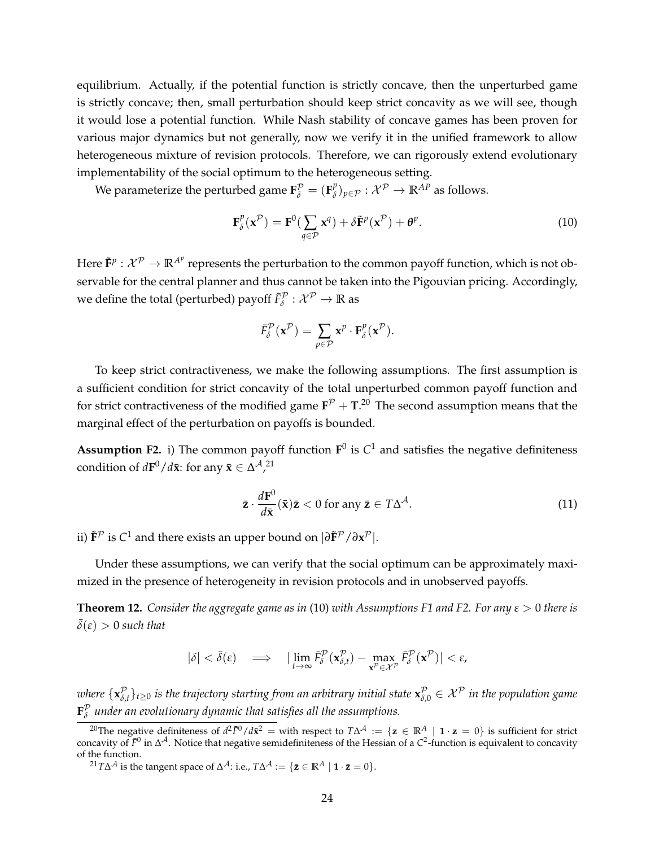equilibrium. Actually, if the potential function is strictly concave, then the unperturbed game is strictly concave; then, small perturbation should keep strict concavity as we will see, though it would lose a potential function. While Nash stability of concave games has been proven for various major dynamics but not generally, now we verify it in the unified framework to allow heterogeneous mixture of revision protocols. Therefore, we can rigorously extend evolutionary implementability of the social optimum to the heterogeneous setting.

We parameterize the perturbed game  $\mathbf{F}_{\delta}^{\mathcal{P}} = (\mathbf{F}_{\delta}^p)$  $(\mathcal{E}_{\delta})_{p \in \mathcal{P}} : \mathcal{X}^{\mathcal{P}} \to \mathbb{R}^{AP}$  as follows.

<span id="page-23-2"></span>
$$
\mathbf{F}_{\delta}^{p}(\mathbf{x}^{\mathcal{P}}) = \mathbf{F}^{0}(\sum_{q \in \mathcal{P}} \mathbf{x}^{q}) + \delta \tilde{\mathbf{F}}^{p}(\mathbf{x}^{\mathcal{P}}) + \mathbf{\theta}^{p}.
$$
 (10)

Here  $\tilde{\bf F}^p:\mathcal{X}^{\mathcal{P}}\to \mathbb{R}^{A^p}$  represents the perturbation to the common payoff function, which is not observable for the central planner and thus cannot be taken into the Pigouvian pricing. Accordingly, we define the total (perturbed) payoff  $\bar{F}^\mathcal{P}_\delta:\mathcal{X}^\mathcal{P}\to\mathbb{R}$  as

$$
\bar{F}_{\delta}^{\mathcal{P}}(\mathbf{x}^{\mathcal{P}})=\sum_{p\in\mathcal{P}}\mathbf{x}^{p}\cdot\mathbf{F}_{\delta}^{p}(\mathbf{x}^{\mathcal{P}}).
$$

To keep strict contractiveness, we make the following assumptions. The first assumption is a sufficient condition for strict concavity of the total unperturbed common payoff function and for strict contractiveness of the modified game  $\mathbf{F}^{\mathcal{P}}+\mathbf{T}.^{20}$  $\mathbf{F}^{\mathcal{P}}+\mathbf{T}.^{20}$  $\mathbf{F}^{\mathcal{P}}+\mathbf{T}.^{20}$  The second assumption means that the marginal effect of the perturbation on payoffs is bounded.

<span id="page-23-3"></span>**Assumption F2.** i) The common payoff function  $\mathbf{F}^0$  is  $C^1$  and satisfies the negative definiteness condition of  $d\mathbf{F}^0/d\bar{\mathbf{x}}$ : for any  $\bar{\mathbf{x}} \in \Delta^{\mathcal{A}}$ ,<sup>[21](#page-23-1)</sup>

<span id="page-23-5"></span>
$$
\bar{\mathbf{z}} \cdot \frac{d\mathbf{F}^0}{d\bar{\mathbf{x}}}(\bar{\mathbf{x}})\bar{\mathbf{z}} < 0 \text{ for any } \bar{\mathbf{z}} \in T\Delta^{\mathcal{A}}.
$$
 (11)

ii)  $\tilde{\mathbf{F}}^{\mathcal{P}}$  is  $C^1$  and there exists an upper bound on  $|\partial \tilde{\mathbf{F}}^{\mathcal{P}} / \partial \mathbf{x}^{\mathcal{P}}|$ .

Under these assumptions, we can verify that the social optimum can be approximately maximized in the presence of heterogeneity in revision protocols and in unobserved payoffs.

<span id="page-23-4"></span>**Theorem 12.** *Consider the aggregate game as in* [\(10\)](#page-23-2) *with Assumptions [F1](#page-5-3) and [F2.](#page-23-3) For any ε* > 0 *there is*  $\bar{\delta}(\varepsilon) > 0$  *such that* 

$$
|\delta| < \bar{\delta}(\varepsilon) \quad \Longrightarrow \quad |\lim_{t \to \infty} \bar{F}_{\delta}^{\mathcal{P}}(\mathbf{x}_{\delta,t}^{\mathcal{P}}) - \max_{\mathbf{x}^{\mathcal{P}} \in \mathcal{X}^{\mathcal{P}}} \bar{F}_{\delta}^{\mathcal{P}}(\mathbf{x}^{\mathcal{P}})| < \varepsilon,
$$

*where*  $\{ \mathbf{x}_{\delta}^{\mathcal{P}} \}$  $^{\mathcal{P}}_{\delta,t}\}_{t\ge0}$  is the trajectory starting from an arbitrary initial state  $\mathbf{x}^{\mathcal{P}}_{\delta,0}\in\mathcal{X}^{\mathcal{P}}$  in the population game  $\mathbf{F}_{\delta}^{\mathcal{P}}$ *δ under an evolutionary dynamic that satisfies all the assumptions.*

<span id="page-23-0"></span><sup>&</sup>lt;sup>20</sup>The negative definiteness of  $d^2\bar{F}^0/d\bar{x}^2 =$  with respect to  $T\Delta^{\mathcal{A}} := \{ \mathbf{z} \in \mathbb{R}^A \mid \mathbf{1} \cdot \mathbf{z} = 0 \}$  is sufficient for strict concavity of  $\bar{F}^0$  in ∆<sup>A</sup>. Notice that negative semidefiniteness of the Hessian of a C<sup>2</sup>-function is equivalent to concavity of the function.

<span id="page-23-1"></span> ${}^{21}T\Delta^{\mathcal{A}}$  is the tangent space of  $\Delta^{\mathcal{A}}$ : i.e.,  $T\Delta^{\mathcal{A}} := \{ \bar{\mathbf{z}} \in \mathbb{R}^A \mid \mathbf{1} \cdot \bar{\mathbf{z}} = 0 \}.$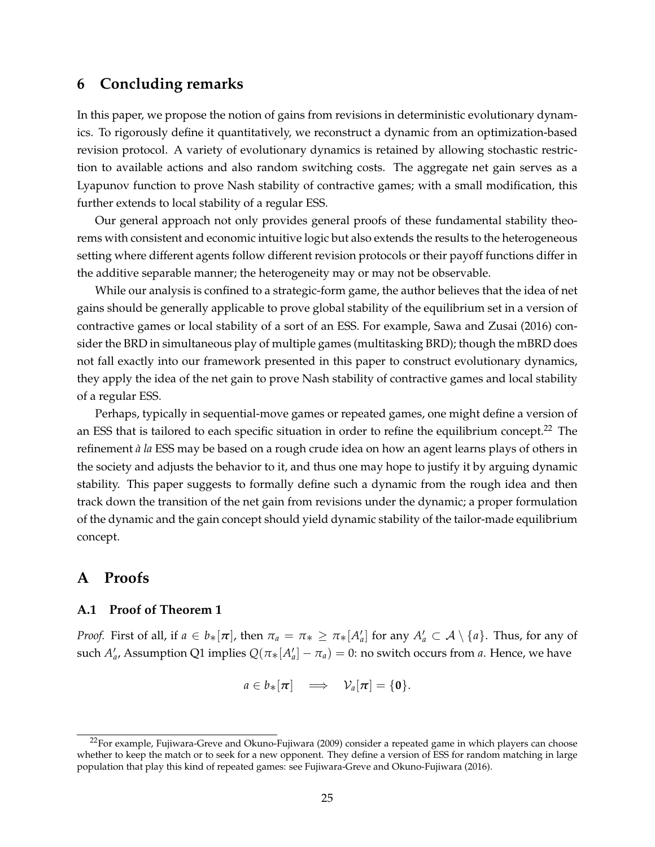# **6 Concluding remarks**

In this paper, we propose the notion of gains from revisions in deterministic evolutionary dynamics. To rigorously define it quantitatively, we reconstruct a dynamic from an optimization-based revision protocol. A variety of evolutionary dynamics is retained by allowing stochastic restriction to available actions and also random switching costs. The aggregate net gain serves as a Lyapunov function to prove Nash stability of contractive games; with a small modification, this further extends to local stability of a regular ESS.

Our general approach not only provides general proofs of these fundamental stability theorems with consistent and economic intuitive logic but also extends the results to the heterogeneous setting where different agents follow different revision protocols or their payoff functions differ in the additive separable manner; the heterogeneity may or may not be observable.

While our analysis is confined to a strategic-form game, the author believes that the idea of net gains should be generally applicable to prove global stability of the equilibrium set in a version of contractive games or local stability of a sort of an ESS. For example, [Sawa and Zusai](#page-36-1) [\(2016\)](#page-36-1) consider the BRD in simultaneous play of multiple games (multitasking BRD); though the mBRD does not fall exactly into our framework presented in this paper to construct evolutionary dynamics, they apply the idea of the net gain to prove Nash stability of contractive games and local stability of a regular ESS.

Perhaps, typically in sequential-move games or repeated games, one might define a version of an ESS that is tailored to each specific situation in order to refine the equilibrium concept.<sup>[22](#page-24-0)</sup> The refinement *`a la* ESS may be based on a rough crude idea on how an agent learns plays of others in the society and adjusts the behavior to it, and thus one may hope to justify it by arguing dynamic stability. This paper suggests to formally define such a dynamic from the rough idea and then track down the transition of the net gain from revisions under the dynamic; a proper formulation of the dynamic and the gain concept should yield dynamic stability of the tailor-made equilibrium concept.

# **A Proofs**

#### **A.1 Proof of Theorem [1](#page-10-2)**

*Proof.* First of all, if  $a \in b_*[\pi]$ , then  $\pi_a = \pi_* \geq \pi_*[A'_a]$  for any  $A'_a \subset \mathcal{A} \setminus \{a\}$ . Thus, for any of such  $A'_a$ , Assumption [Q1](#page-8-1) implies  $Q(\pi_*[A'_a] - \pi_a) = 0$ : no switch occurs from *a*. Hence, we have

$$
a\in b_*[\boldsymbol{\pi}] \quad \Longrightarrow \quad \mathcal{V}_a[\boldsymbol{\pi}]=\{\boldsymbol{0}\}.
$$

<span id="page-24-0"></span><sup>&</sup>lt;sup>22</sup>For example, [Fujiwara-Greve and Okuno-Fujiwara](#page-35-14) [\(2009\)](#page-35-14) consider a repeated game in which players can choose whether to keep the match or to seek for a new opponent. They define a version of ESS for random matching in large population that play this kind of repeated games: see [Fujiwara-Greve and Okuno-Fujiwara](#page-35-15) [\(2016\)](#page-35-15).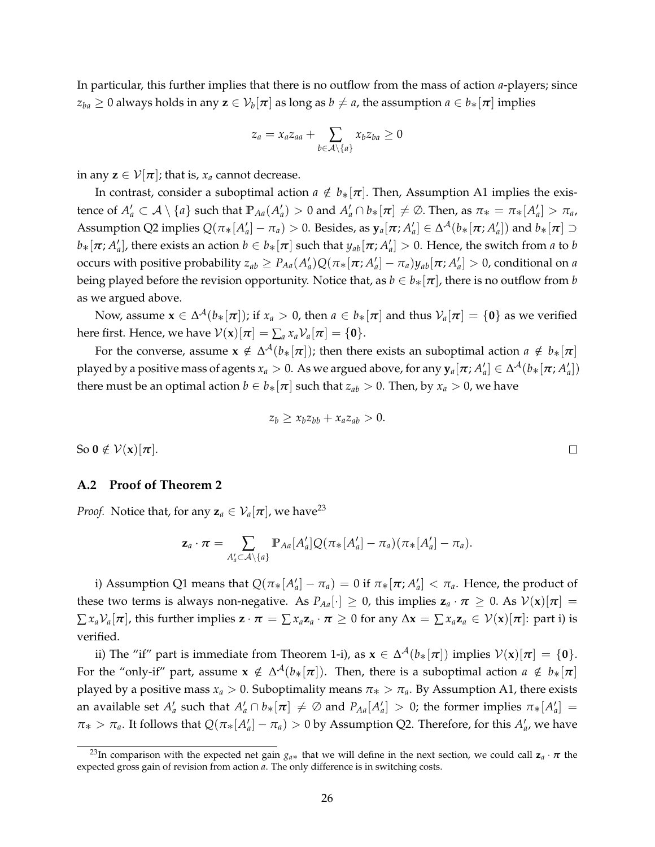In particular, this further implies that there is no outflow from the mass of action *a*-players; since  $z_{ba}\geq 0$  always holds in any  $\mathbf{z}\in\mathcal{V}_b[\bm{\pi}]$  as long as  $b\neq a$ , the assumption  $a\in b_*[\bm{\pi}]$  implies

$$
z_a = x_a z_{aa} + \sum_{b \in \mathcal{A} \setminus \{a\}} x_b z_{ba} \ge 0
$$

in any  $z \in \mathcal{V}[\pi]$ ; that is,  $x_a$  cannot decrease.

In contrast, consider a suboptimal action  $a \notin b_*[\pi]$ . Then, Assumption [A1](#page-8-0) implies the existence of  $A'_a \subset A \setminus \{a\}$  such that  $\mathbb{P}_{Aa}(A'_a) > 0$  and  $A'_a \cap b_*[\pi] \neq \emptyset$ . Then, as  $\pi_* = \pi_*[A'_a] > \pi_a$ ,  $\Lambda$ ssumption [Q2](#page-8-2) implies  $Q(\pi_*[A'_a]-\pi_a)>0$ . Besides, as  $\mathbf{y}_a[\pi;A'_a]\in \Delta^{\mathcal{A}}(b_*[\pi;A'_a])$  and  $b_*[\pi]\supseteq \Lambda^{\mathcal{A}}(b_*[\pi;A'_a])$  $b_*[\pi; A'_a]$ , there exists an action  $b \in b_*[\pi]$  such that  $y_{ab}[\pi; A'_a] > 0$ . Hence, the switch from *a* to *b* occurs with positive probability  $z_{ab}\geq P_{Aa}(A'_a)Q(\pi_*[\pi;A'_a]-\pi_a)y_{ab}[\pi;A'_a]>0$ , conditional on a being played before the revision opportunity. Notice that, as  $b \in b_*[\pi]$ , there is no outflow from *b* as we argued above.

Now, assume  $\mathbf{x}\in\Delta^{\mathcal{A}}(b_{*}[\pi])$ ; if  $x_{a}>0$ , then  $a\in b_{*}[\pi]$  and thus  $\mathcal{V}_{a}[\pi]=\{\mathbf{0}\}$  as we verified here first. Hence, we have  $V(\mathbf{x})[\pi] = \sum_a x_a V_a[\pi] = \{\mathbf{0}\}.$ 

For the converse, assume  $\mathbf{x} \notin \Delta^{\mathcal{A}}(b_{*}[\pi])$ ; then there exists an suboptimal action  $a \notin b_{*}[\pi]$ played by a positive mass of agents  $x_a>0$ . As we argued above, for any  $\mathbf{y}_a[\bm{\pi};A_a']\in \Delta^{\mathcal{A}}(b_*[\bm{\pi};A_a'])$ there must be an optimal action  $b \in b_*[\pi]$  such that  $z_{ab} > 0$ . Then, by  $x_a > 0$ , we have

$$
z_b \geq x_b z_{bb} + x_a z_{ab} > 0.
$$

So  $0 \notin \mathcal{V}(\mathbf{x})[\pi]$ .

#### **A.2 Proof of Theorem [2](#page-10-4)**

*Proof.* Notice that, for any  $z_a \in V_a[\pi]$ , we have<sup>[23](#page-25-0)</sup>

$$
\mathbf{z}_a \cdot \boldsymbol{\pi} = \sum_{A'_a \subset \mathcal{A} \setminus \{a\}} \mathbb{P}_{Aa}[A'_a] Q(\pi_*[A'_a] - \pi_a) (\pi_*[A'_a] - \pi_a).
$$

i) Assumption [Q1](#page-8-1) means that  $Q(\pi_*[A'_a]-\pi_a)=0$  if  $\pi_*[\pi;A'_a]<\pi_a$ . Hence, the product of these two terms is always non-negative. As  $P_{Aa}[\cdot] \geq 0$ , this implies  $z_a \cdot \pi \geq 0$ . As  $V(x)[\pi] =$  $\sum x_a \mathcal{V}_a[\pi]$ , this further implies  $\mathbf{z} \cdot \pi = \sum x_a \mathbf{z}_a \cdot \pi \geq 0$  for any  $\Delta \mathbf{x} = \sum x_a \mathbf{z}_a \in \mathcal{V}(\mathbf{x})[\pi]$ : part i) is verified.

ii) The "if" part is immediate from Theorem [1-](#page-10-2)i), as  $\mathbf{x} \in \Delta^{\mathcal{A}}(b_{*}[\pi])$  implies  $\mathcal{V}(\mathbf{x})[\pi] = \{\mathbf{0}\}.$ For the "only-if" part, assume  $\mathbf{x} \notin \Delta^{\mathcal{A}}(b_{*}[\pi])$ . Then, there is a suboptimal action  $a \notin b_{*}[\pi]$ played by a positive mass  $x_a > 0$ . Suboptimality means  $\pi_* > \pi_a$ . By Assumption [A1,](#page-8-0) there exists an available set  $A'_a$  such that  $A'_a \cap b_*[\pi] \neq \emptyset$  and  $P_{Aa}[A'_a] > 0$ ; the former implies  $\pi_*[A'_a] =$  $\pi_* > \pi_a$ . It follows that  $Q(\pi_*[A'_a] - \pi_a) > 0$  by Assumption [Q2.](#page-8-2) Therefore, for this  $A'_a$ , we have

 $\Box$ 

<span id="page-25-0"></span><sup>&</sup>lt;sup>23</sup>In comparison with the expected net gain  $g_{a*}$  that we will define in the next section, we could call  $z_a \cdot \pi$  the expected gross gain of revision from action *a*. The only difference is in switching costs.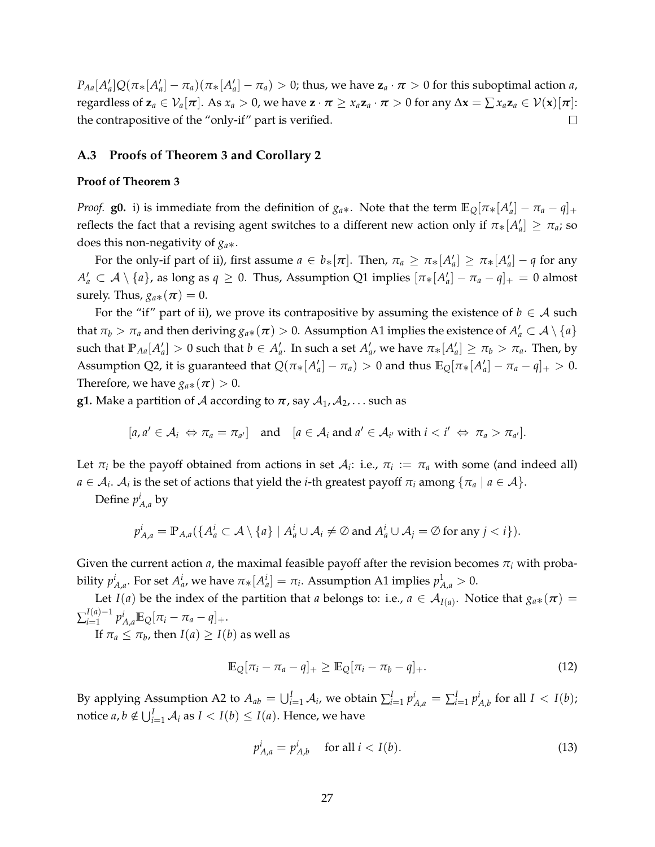$P_{Aa}[A'_a]Q(\pi_*[A'_a]-\pi_a)(\pi_*[A'_a]-\pi_a) > 0$ ; thus, we have  $\mathbf{z}_a \cdot \boldsymbol{\pi} > 0$  for this suboptimal action a, regardless of  $\mathbf{z}_a \in \mathcal{V}_a[\pi]$ . As  $x_a > 0$ , we have  $\mathbf{z} \cdot \pi \geq x_a \mathbf{z}_a \cdot \pi > 0$  for any  $\Delta \mathbf{x} = \sum x_a \mathbf{z}_a \in \mathcal{V}(\mathbf{x})[\pi]$ : the contrapositive of the "only-if" part is verified.  $\Box$ 

#### **A.3 Proofs of Theorem [3](#page-11-0) and Corollary [2](#page-11-3)**

#### **Proof of Theorem [3](#page-11-0)**

*Proof.* **g0.** i) is immediate from the definition of  $g_{a*}$ . Note that the term  $\mathbb{E}_{Q}[\pi_*[A'_{a}] - \pi_a - q]$ . reflects the fact that a revising agent switches to a different new action only if  $\pi_*[A'_a] \geq \pi_a$ ; so does this non-negativity of *ga*∗.

For the only-if part of ii), first assume  $a \in b_*[\pi]$ . Then,  $\pi_a \geq \pi_*[A'_a] \geq \pi_*[A'_a] - q$  for any  $A'_a \subset A \setminus \{a\}$ , as long as  $q \ge 0$ . Thus, Assumption [Q1](#page-8-1) implies  $[\pi_*[A'_a] - \pi_a - q]_+ = 0$  almost surely. Thus,  $g_{a*}(\pi) = 0$ .

For the "if" part of ii), we prove its contrapositive by assuming the existence of  $b \in A$  such that  $\pi_b > \pi_a$  and then deriving  $g_{a*}(\pi) > 0$ . Assumption [A1](#page-8-0) implies the existence of  $A'_a \subset A \setminus \{a\}$ such that  $\mathbb{P}_{Aa}[A'_a]>0$  such that  $b\in A'_a$ . In such a set  $A'_a$ , we have  $\pi_*[A'_a]\geq \pi_b>\pi_a$ . Then, by Assumption [Q2,](#page-8-2) it is guaranteed that  $Q(\pi_*[A'_a] - \pi_a) > 0$  and thus  $\mathbb{E}_Q[\pi_*[A'_a] - \pi_a - q]_+ > 0$ . Therefore, we have  $g_{a*}(\pi) > 0$ .

**g1.** Make a partition of A according to  $\pi$ , say  $A_1, A_2, \ldots$  such as

$$
[a, a' \in A_i \Leftrightarrow \pi_a = \pi_{a'}]
$$
 and  $[a \in A_i \text{ and } a' \in A_{i'} \text{ with } i < i' \Leftrightarrow \pi_a > \pi_{a'}].$ 

Let  $\pi_i$  be the payoff obtained from actions in set  $A_i$ : i.e.,  $\pi_i := \pi_a$  with some (and indeed all)  $a \in A_i$ .  $A_i$  is the set of actions that yield the *i*-th greatest payoff  $\pi_i$  among  $\{\pi_a \mid a \in A\}.$ 

Define  $p_{A,a}^i$  by

$$
p_{A,a}^i = \mathbb{P}_{A,a}(\{A_a^i \subset \mathcal{A} \setminus \{a\} \mid A_a^i \cup \mathcal{A}_i \neq \emptyset \text{ and } A_a^i \cup \mathcal{A}_j = \emptyset \text{ for any } j < i\}).
$$

Given the current action  $a$ , the maximal feasible payoff after the revision becomes  $\pi_i$  with probability  $p_{A,a}^i$ . For set  $A_a^i$ , we have  $\pi_*[A_a^i] = \pi_i$ . Assumption [A1](#page-8-0) implies  $p_{A,a}^1 > 0$ .

Let *I*(*a*) be the index of the partition that *a* belongs to: i.e.,  $a \in A_{I(a)}$ . Notice that  $g_{a*}(\pi) =$  $\sum_{i=1}^{I(a)-1}$  $p_{A,a}^i \mathbb{E}_{Q}[\pi_i - \pi_a - q]_+.$ 

If  $\pi_a \leq \pi_b$ , then  $I(a) \geq I(b)$  as well as

<span id="page-26-0"></span>
$$
\mathbb{E}_{Q}[\pi_i - \pi_a - q]_{+} \geq \mathbb{E}_{Q}[\pi_i - \pi_b - q]_{+}.
$$
\n(12)

By applying Assumption [A2](#page-8-3) to  $A_{ab} = \bigcup_{i=1}^{I} A_i$ , we obtain  $\sum_{i=1}^{I} p_{A,a}^i = \sum_{i=1}^{I} p_{A,b}^i$  for all  $I < I(b)$ ; notice  $a, b \notin \bigcup_{i=1}^{I} A_i$  as  $I < I(b) \leq I(a)$ . Hence, we have

$$
p_{A,a}^i = p_{A,b}^i \quad \text{ for all } i < I(b). \tag{13}
$$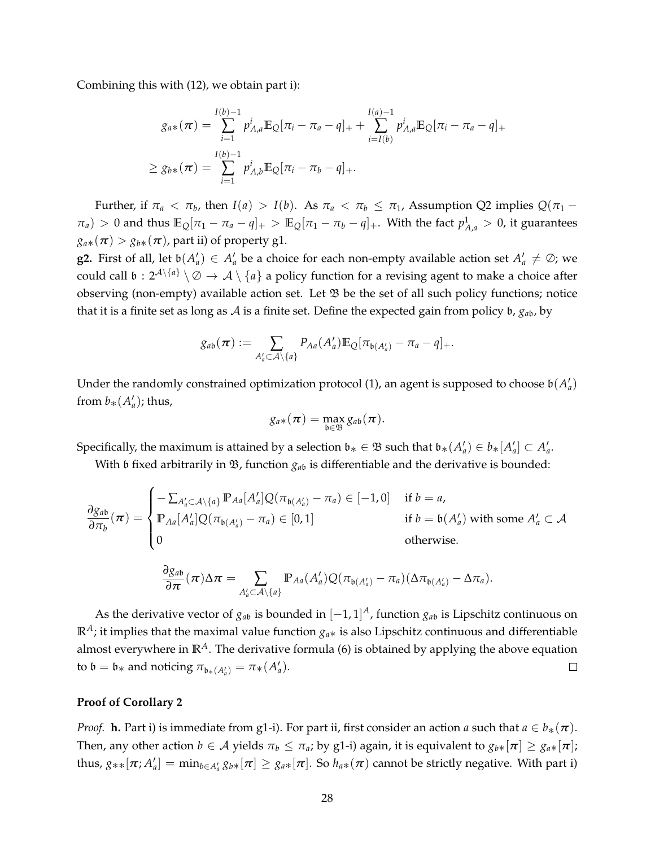Combining this with [\(12\)](#page-26-0), we obtain part i):

$$
g_{a*}(\pi) = \sum_{i=1}^{I(b)-1} p_{A,a}^{i} \mathbb{E}_{Q}[\pi_i - \pi_a - q]_{+} + \sum_{i=I(b)}^{I(a)-1} p_{A,a}^{i} \mathbb{E}_{Q}[\pi_i - \pi_a - q]_{+}
$$
  
\n
$$
\geq g_{b*}(\pi) = \sum_{i=1}^{I(b)-1} p_{A,b}^{i} \mathbb{E}_{Q}[\pi_i - \pi_b - q]_{+}.
$$

Further, if  $\pi_a < \pi_b$ , then *I*(*a*) > *I*(*b*). As  $\pi_a < \pi_b \leq \pi_1$ , Assumption [Q2](#page-8-2) implies  $Q(\pi_1 \pi_a$ ) > 0 and thus  $\mathbb{E}_Q[\pi_1 - \pi_a - q]_+$  >  $\mathbb{E}_Q[\pi_1 - \pi_b - q]_+$ . With the fact  $p_{A,a}^1$  > 0, it guarantees  $g_{a*}(\pi) > g_{b*}(\pi)$ , part ii) of property g1.

**g2.** First of all, let  $\mathfrak{b}(A'_a) \in A'_a$  be a choice for each non-empty available action set  $A'_a \neq \emptyset$ ; we could call  $\mathfrak{b}: 2^{\mathcal{A}\setminus\{a\}} \setminus \emptyset \to \mathcal{A} \setminus \{a\}$  a policy function for a revising agent to make a choice after observing (non-empty) available action set. Let  $\mathfrak B$  be the set of all such policy functions; notice that it is a finite set as long as  $A$  is a finite set. Define the expected gain from policy  $\mathfrak{b}$ ,  $g_{ab}$ , by

$$
g_{ab}(\boldsymbol{\pi}) := \sum_{A'_a \subset \mathcal{A} \setminus \{a\}} P_{Aa}(A'_a) \mathbb{E}_{Q} [\pi_{b(A'_a)} - \pi_a - q]_+.
$$

Under the randomly constrained optimization protocol [\(1\)](#page-6-1), an agent is supposed to choose  $\mathfrak{b}(A'_a)$ from  $b_*(A'_a)$ ; thus,

$$
g_{a*}(\pi) = \max_{\mathfrak{b}\in \mathfrak{B}} g_{a\mathfrak{b}}(\pi).
$$

Specifically, the maximum is attained by a selection  $\mathfrak{b}_* \in \mathfrak{B}$  such that  $\mathfrak{b}_*(A'_a) \in \mathfrak{b}_*[A'_a] \subset A'_a$ .

With  $\mathfrak b$  fixed arbitrarily in  $\mathfrak B$ , function  $g_{ab}$  is differentiable and the derivative is bounded:

$$
\frac{\partial g_{ab}}{\partial \pi_b}(\boldsymbol{\pi}) = \begin{cases}\n-\sum_{A'_a \subset A \setminus \{a\}} \mathbb{P}_{Aa}[A'_a] Q(\pi_{b(A'_a)} - \pi_a) \in [-1,0] & \text{if } b = a, \\
\mathbb{P}_{Aa}[A'_a] Q(\pi_{b(A'_a)} - \pi_a) \in [0,1] & \text{if } b = b(A'_a) \text{ with some } A'_a \subset A \\
0 & \text{otherwise.} \n\end{cases}
$$

$$
\frac{\partial g_{ab}}{\partial \pi}(\pi) \Delta \pi = \sum_{A'_a \subset \mathcal{A}\setminus\{a\}} \mathbb{P}_{Aa}(A'_a) Q(\pi_{\mathfrak{b}(A'_a)} - \pi_a) (\Delta \pi_{\mathfrak{b}(A'_a)} - \Delta \pi_a).
$$

As the derivative vector of *ga*<sup>b</sup> is bounded in [−1, 1] *<sup>A</sup>*, function *ga*<sup>b</sup> is Lipschitz continuous on  $\mathbb{R}^A$ ; it implies that the maximal value function  $g_{a*}$  is also Lipschitz continuous and differentiable almost everywhere in  $\mathbb{R}^A$ . The derivative formula [\(6\)](#page-11-4) is obtained by applying the above equation to  $\mathfrak{b} = \mathfrak{b}_*$  and noticing  $\pi_{\mathfrak{b}_*(A'_a)} = \pi_*(A'_a)$ .  $\Box$ 

#### **Proof of Corollary [2](#page-11-3)**

*Proof.* **h.** Part i) is immediate from g1-i). For part ii, first consider an action *a* such that  $a \in b_*(\pi)$ . Then, any other action  $b \in A$  yields  $\pi_b \leq \pi_a$ ; by g1-i) again, it is equivalent to  $g_{b*}[\pi] \geq g_{a*}[\pi]$ ; thus,  $g_{**}[\pi; A'_a] = \min_{b \in A'_a} g_{b*}[\pi] \geq g_{a*}[\pi]$ . So  $h_{a*}(\pi)$  cannot be strictly negative. With part i)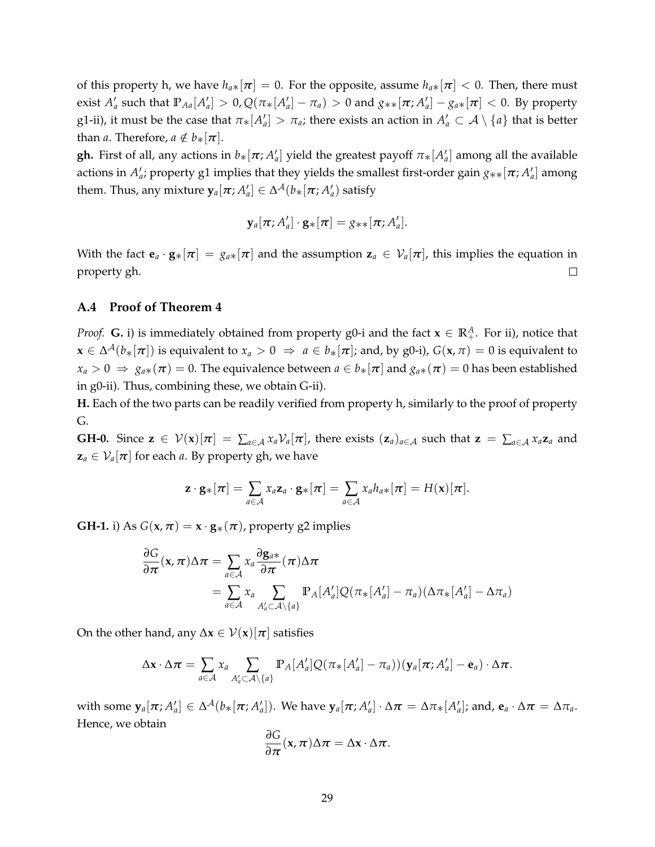of this property h, we have  $h_{a*}[\pi] = 0$ . For the opposite, assume  $h_{a*}[\pi] < 0$ . Then, there must exist  $A'_a$  such that  $\mathbb{P}_{Aa}[A'_a]>0$ ,  $\mathcal{Q}(\pi_*[A'_a]-\pi_a)>0$  and  $g_{**}[\pi;A'_a]-g_{a*}[\pi]<0$ . By property g1-ii), it must be the case that  $\pi_*[A'_a] > \pi_a$ ; there exists an action in  $A'_a \subset A\setminus\{a\}$  that is better than *a*. Therefore,  $a \notin b_*[\pi]$ .

**gh.** First of all, any actions in  $b_*[\pi; A'_a]$  yield the greatest payoff  $\pi_*[A'_a]$  among all the available actions in  $A'_a$ ; property g1 implies that they yields the smallest first-order gain  $g_{**}[\pi;A'_a]$  among them. Thus, any mixture  $\mathbf{y}_a[\pi; A_a'] \in \Delta^{\mathcal{A}}(b_*[\pi; A_a']$  satisfy

$$
\mathbf{y}_a[\boldsymbol{\pi};A'_a]\cdot\mathbf{g}_*[\boldsymbol{\pi}]=g_{**}[\boldsymbol{\pi};A'_a].
$$

With the fact  $\mathbf{e}_a \cdot \mathbf{g}_* [\pi] = g_{a*}[\pi]$  and the assumption  $\mathbf{z}_a \in \mathcal{V}_a[\pi]$ , this implies the equation in property gh.  $\Box$ 

### **A.4 Proof of Theorem [4](#page-13-0)**

*Proof.* **G.** i) is immediately obtained from property g0-i and the fact  $\mathbf{x} \in \mathbb{R}^A_+$ . For ii), notice that  $\mathbf{x} \in \Delta^{\mathcal{A}}(b_{*}[\pi])$  is equivalent to  $x_{a}>0$   $\Rightarrow$   $a \in b_{*}[\pi]$ ; and, by g0-i),  $G(\mathbf{x},\pi)=0$  is equivalent to  $x_a > 0 \Rightarrow g_{a*}(\pi) = 0$ . The equivalence between  $a \in b_*[\pi]$  and  $g_{a*}(\pi) = 0$  has been established in g0-ii). Thus, combining these, we obtain G-ii).

**H.** Each of the two parts can be readily verified from property h, similarly to the proof of property G.

**GH-0.** Since  $\mathbf{z} \in \mathcal{V}(\mathbf{x})[\pi] = \sum_{a \in \mathcal{A}} x_a \mathcal{V}_a[\pi]$ , there exists  $(\mathbf{z}_a)_{a \in \mathcal{A}}$  such that  $\mathbf{z} = \sum_{a \in \mathcal{A}} x_a \mathbf{z}_a$  and  $z_a \in V_a[\pi]$  for each *a*. By property gh, we have

$$
\mathbf{z}\cdot\mathbf{g} * [\boldsymbol{\pi}] = \sum_{a\in\mathcal{A}} x_a \mathbf{z}_a \cdot \mathbf{g} * [\boldsymbol{\pi}] = \sum_{a\in\mathcal{A}} x_a h_{a*} [\boldsymbol{\pi}] = H(\mathbf{x})[\boldsymbol{\pi}].
$$

**GH-1.** i) As  $G(x, \pi) = x \cdot g_*(\pi)$ , property g2 implies

$$
\frac{\partial G}{\partial \pi}(x, \pi) \Delta \pi = \sum_{a \in \mathcal{A}} x_a \frac{\partial g_{a*}}{\partial \pi}(\pi) \Delta \pi
$$
  
= 
$$
\sum_{a \in \mathcal{A}} x_a \sum_{A'_a \subset \mathcal{A} \setminus \{a\}} \mathbb{P}_A[A'_a] Q(\pi_*[A'_a] - \pi_a) (\Delta \pi_*[A'_a] - \Delta \pi_a)
$$

On the other hand, any  $\Delta x \in \mathcal{V}(x)[\pi]$  satisfies

$$
\Delta \mathbf{x} \cdot \Delta \boldsymbol{\pi} = \sum_{a \in \mathcal{A}} x_a \sum_{A'_a \subset \mathcal{A} \setminus \{a\}} \mathbb{P}_A[A'_a] Q(\pi_*[A'_a] - \pi_a)) (\mathbf{y}_a[\boldsymbol{\pi}; A'_a] - \mathbf{e}_a) \cdot \Delta \boldsymbol{\pi}.
$$

with some  $\mathbf{y}_a[\pi;A_a']\in \Delta^{\mathcal{A}}(b_*[\pi;A_a'])$ . We have  $\mathbf{y}_a[\pi;A_a']\cdot\Delta\pi=\Delta\pi_*[A_a']$ ; and,  $\mathbf{e}_a\cdot\Delta\pi=\Delta\pi_a$ . Hence, we obtain

$$
\frac{\partial G}{\partial \pi}(x,\pi)\Delta \pi = \Delta x \cdot \Delta \pi.
$$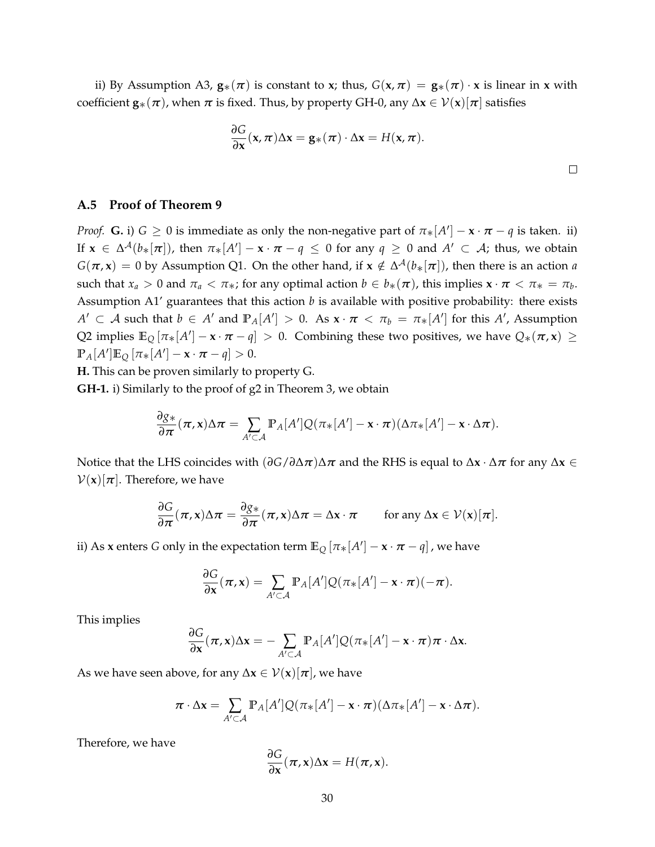ii) By Assumption [A3,](#page-8-4)  $\mathbf{g}_*(\pi)$  is constant to **x**; thus,  $G(\mathbf{x}, \pi) = \mathbf{g}_*(\pi) \cdot \mathbf{x}$  is linear in **x** with coefficient  $\mathbf{g}_*(\pi)$ , when  $\pi$  is fixed. Thus, by property GH-0, any  $\Delta \mathbf{x} \in \mathcal{V}(\mathbf{x})[\pi]$  satisfies

$$
\frac{\partial G}{\partial x}(x,\pi)\Delta x = \mathbf{g}_*(\pi) \cdot \Delta x = H(x,\pi).
$$

### **A.5 Proof of Theorem [9](#page-18-0)**

*Proof.* **G.** i)  $G \ge 0$  is immediate as only the non-negative part of  $\pi_*[A'] - \mathbf{x} \cdot \pi - q$  is taken. ii) If  $\mathbf{x} \in \Delta^{\mathcal{A}}(b_{*}[\pi])$ , then  $\pi_{*}[A'] - \mathbf{x} \cdot \pi - q \leq 0$  for any  $q \geq 0$  and  $A' \subset \mathcal{A}$ ; thus, we obtain  $G(\pi, x) = 0$  by Assumption [Q1.](#page-8-1) On the other hand, if  $x \notin \Delta^{\mathcal{A}}(b_{*}[\pi])$ , then there is an action *a* such that  $x_a > 0$  and  $\pi_a < \pi_*$ ; for any optimal action  $b \in b_*(\pi)$ , this implies  $\mathbf{x} \cdot \pi < \pi_* = \pi_b$ . Assumption [A1'](#page-8-0) guarantees that this action *b* is available with positive probability: there exists  $A' \subset A$  such that  $b \in A'$  and  $\mathbb{P}_A[A'] > 0$ . As  $\mathbf{x} \cdot \pi < \pi_b = \pi_*[A']$  for this  $A'$ , Assumption [Q2](#page-8-2) implies  $\mathbb{E}_{Q}[\pi_*[A'] - x \cdot \pi - q] > 0$ . Combining these two positives, we have  $Q_*(\pi, x) \ge$  $\mathbb{P}_A[A']\mathbb{E}_Q[\pi_*[A'] - \mathbf{x} \cdot \pi - q] > 0.$ 

**H.** This can be proven similarly to property G.

**GH-1.** i) Similarly to the proof of g2 in Theorem [3,](#page-11-0) we obtain

$$
\frac{\partial g_*}{\partial \pi}(\pi, \mathbf{x}) \Delta \pi = \sum_{A' \subset \mathcal{A}} \mathbb{P}_A[A'] Q(\pi_*[A'] - \mathbf{x} \cdot \pi) (\Delta \pi_*[A'] - \mathbf{x} \cdot \Delta \pi).
$$

Notice that the LHS coincides with (*∂G*/*∂*∆*π*)∆*π* and the RHS is equal to ∆**x** · ∆*π* for any ∆**x** ∈  $V(x)[\pi]$ . Therefore, we have

$$
\frac{\partial G}{\partial \pi}(\pi, x)\Delta \pi = \frac{\partial g_*}{\partial \pi}(\pi, x)\Delta \pi = \Delta x \cdot \pi \quad \text{for any } \Delta x \in \mathcal{V}(x)[\pi].
$$

ii) As **x** enters  $G$  only in the expectation term  $\mathbb{E}_{Q}\left[\pi_{*}[A']-\mathbf{x}\cdot\boldsymbol{\pi}-q\right]$  , we have

$$
\frac{\partial G}{\partial \mathbf{x}}(\boldsymbol{\pi}, \mathbf{x}) = \sum_{A' \subset \mathcal{A}} \mathbb{P}_A[A'] Q(\pi_*[A'] - \mathbf{x} \cdot \boldsymbol{\pi})(-\boldsymbol{\pi}).
$$

This implies

$$
\frac{\partial G}{\partial \mathbf{x}}(\boldsymbol{\pi}, \mathbf{x}) \Delta \mathbf{x} = -\sum_{A' \subset \mathcal{A}} \mathbb{P}_A[A'] Q(\pi_*[A'] - \mathbf{x} \cdot \boldsymbol{\pi}) \boldsymbol{\pi} \cdot \Delta \mathbf{x}.
$$

As we have seen above, for any  $\Delta x \in \mathcal{V}(x)[\pi]$ , we have

$$
\pi \cdot \Delta \mathbf{x} = \sum_{A' \subset \mathcal{A}} \mathbb{P}_A[A'] Q(\pi_*[A'] - \mathbf{x} \cdot \pi) (\Delta \pi_*[A'] - \mathbf{x} \cdot \Delta \pi).
$$

Therefore, we have

$$
\frac{\partial G}{\partial x}(\pi, x)\Delta x = H(\pi, x).
$$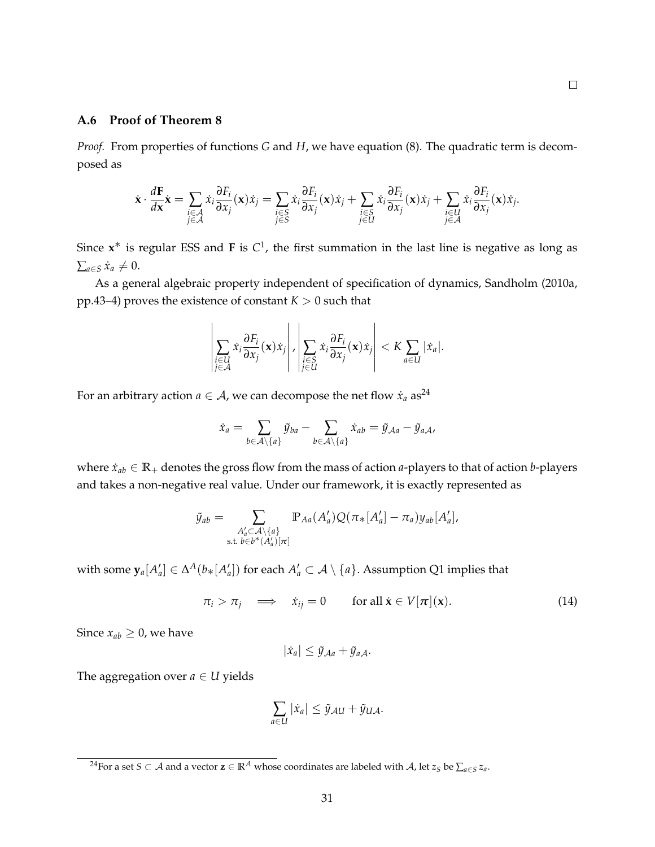# **A.6 Proof of Theorem [8](#page-16-1)**

*Proof.* From properties of functions *G* and *H*, we have equation [\(8\)](#page-14-1). The quadratic term is decomposed as

$$
\dot{\mathbf{x}} \cdot \frac{d\mathbf{F}}{dx} \dot{\mathbf{x}} = \sum_{\substack{i \in \mathcal{A} \\ j \in \mathcal{A}}} \dot{x}_i \frac{\partial F_i}{\partial x_j}(\mathbf{x}) \dot{x}_j = \sum_{\substack{i \in \mathcal{S} \\ j \in \mathcal{S}}} \dot{x}_i \frac{\partial F_i}{\partial x_j}(\mathbf{x}) \dot{x}_j + \sum_{\substack{i \in \mathcal{S} \\ j \in \mathcal{U}}} \dot{x}_i \frac{\partial F_i}{\partial x_j}(\mathbf{x}) \dot{x}_j + \sum_{\substack{i \in \mathcal{U} \\ j \in \mathcal{A}}} \dot{x}_i \frac{\partial F_i}{\partial x_j}(\mathbf{x}) \dot{x}_j.
$$

Since  $x^*$  is regular ESS and **F** is  $C^1$ , the first summation in the last line is negative as long as  $∑<sub>a∈S</sub>$   $\dot{x}_a ≠ 0$ .

As a general algebraic property independent of specification of dynamics, [Sandholm](#page-35-8) [\(2010a,](#page-35-8) pp.43–4) proves the existence of constant  $K > 0$  such that

$$
\left|\sum_{\substack{i\in U\\j\in\mathcal{A}}}x_i\frac{\partial F_i}{\partial x_j}(\mathbf{x})\dot{x}_j\right|,\left|\sum_{\substack{i\in S\\j\in U}}\dot{x}_i\frac{\partial F_i}{\partial x_j}(\mathbf{x})\dot{x}_j\right|
$$

For an arbitrary action *a*  $\in$  *A*, we can decompose the net flow  $\dot{x}_a$  as<sup>[24](#page-30-0)</sup>

$$
\dot{x}_a = \sum_{b \in \mathcal{A}\setminus\{a\}} \tilde{y}_{ba} - \sum_{b \in \mathcal{A}\setminus\{a\}} \dot{x}_{ab} = \tilde{y}_{\mathcal{A}a} - \tilde{y}_{a\mathcal{A}}.
$$

where  $\dot{x}_{ab} \in \mathbb{R}_+$  denotes the gross flow from the mass of action *a*-players to that of action *b*-players and takes a non-negative real value. Under our framework, it is exactly represented as

$$
\tilde{y}_{ab} = \sum_{\substack{A'_a \subset \mathcal{A} \setminus \{a\} \\ \text{s.t. } b \in b^*(A'_a) \mid \pi \text{}}} \mathbb{P}_{Aa}(A'_a) Q(\pi_*[A'_a] - \pi_a) y_{ab}[A'_a],
$$

with some  $\mathbf{y}_a[A'_a]\in \Delta^A(b_{\ast}[A'_a])$  for each  $A'_a\subset \mathcal{A}\setminus\{a\}.$  Assumption [Q1](#page-8-1) implies that

<span id="page-30-1"></span>
$$
\pi_i > \pi_j \quad \Longrightarrow \quad \dot{x}_{ij} = 0 \qquad \text{for all } \dot{x} \in V[\pi](x). \tag{14}
$$

Since  $x_{ab} \geq 0$ , we have

$$
|\dot{x}_a| \leq \tilde{y}_{\mathcal{A}a} + \tilde{y}_{a\mathcal{A}}.
$$

The aggregation over  $a \in U$  yields

$$
\sum_{a\in U}|\dot{x}_a|\leq \tilde{y}_{AU}+\tilde{y}_{UA}.
$$

<span id="page-30-0"></span> $^{24}$ For a set  $S\subset\mathcal{A}$  and a vector  $\mathbf{z}\in\mathbb{R}^A$  whose coordinates are labeled with  $\mathcal{A}$ , let  $z_S$  be  $\sum_{a\in S}z_a.$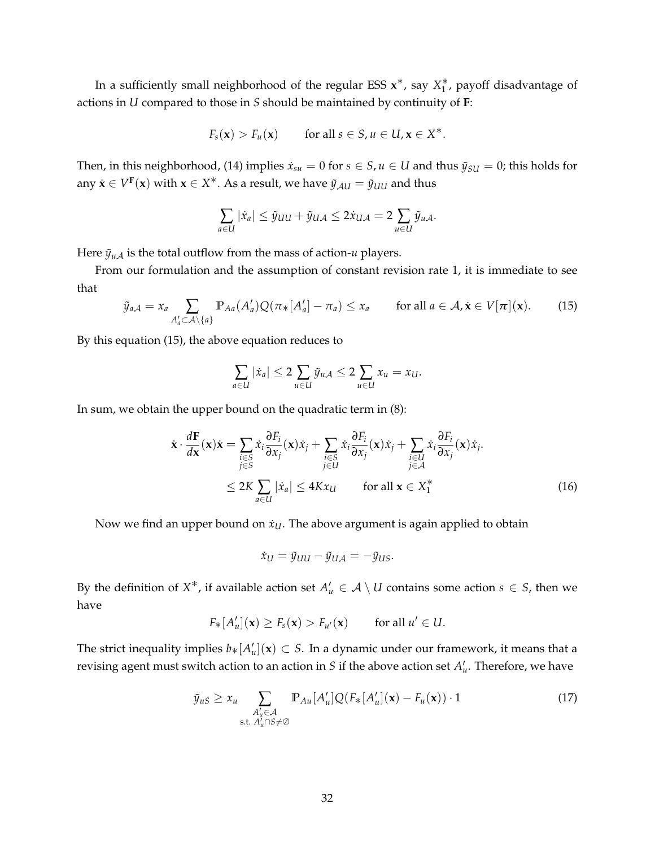In a sufficiently small neighborhood of the regular ESS **x**<sup>\*</sup>, say  $X_1^*$ , payoff disadvantage of actions in *U* compared to those in *S* should be maintained by continuity of **F**:

$$
F_s(\mathbf{x}) > F_u(\mathbf{x})
$$
 for all  $s \in S, u \in U, \mathbf{x} \in X^*$ .

Then, in this neighborhood, [\(14\)](#page-30-1) implies  $\dot{x}_{su} = 0$  for  $s \in S$ ,  $u \in U$  and thus  $\tilde{y}_{SU} = 0$ ; this holds for any  $\dot{\mathbf{x}} \in V^{\mathbf{F}}(\mathbf{x})$  with  $\mathbf{x} \in X^*$ . As a result, we have  $\tilde{y}_{\mathcal{A}U} = \tilde{y}_{UU}$  and thus

$$
\sum_{a\in U}|\dot{x}_a|\leq \tilde{y}_{UU}+\tilde{y}_{UA}\leq 2\dot{x}_{UA}=2\sum_{u\in U}\tilde{y}_{uA}.
$$

Here  $\tilde{y}_{u}$  *is the total outflow from the mass of action-* $u$  *players.* 

From our formulation and the assumption of constant revision rate 1, it is immediate to see that

<span id="page-31-0"></span>
$$
\tilde{y}_{a\mathcal{A}} = x_a \sum_{A'_a \subset \mathcal{A} \setminus \{a\}} \mathbb{P}_{Aa}(A'_a) Q(\pi_*[A'_a] - \pi_a) \le x_a \quad \text{for all } a \in \mathcal{A}, \dot{\mathbf{x}} \in V[\boldsymbol{\pi}](\mathbf{x}). \tag{15}
$$

By this equation [\(15\)](#page-31-0), the above equation reduces to

$$
\sum_{a\in U}|\dot{x}_a|\leq 2\sum_{u\in U}\tilde{y}_{u\mathcal{A}}\leq 2\sum_{u\in U}x_u=x_U.
$$

In sum, we obtain the upper bound on the quadratic term in [\(8\)](#page-14-1):

$$
\dot{\mathbf{x}} \cdot \frac{d\mathbf{F}}{d\mathbf{x}}(\mathbf{x})\dot{\mathbf{x}} = \sum_{\substack{i \in S \\ j \in S}} \dot{x}_i \frac{\partial F_i}{\partial x_j}(\mathbf{x})\dot{x}_j + \sum_{\substack{i \in S \\ j \in U}} \dot{x}_i \frac{\partial F_i}{\partial x_j}(\mathbf{x})\dot{x}_j + \sum_{\substack{i \in U \\ j \in \mathcal{A}}} \dot{x}_i \frac{\partial F_i}{\partial x_j}(\mathbf{x})\dot{x}_j.
$$
\n
$$
\leq 2K \sum_{a \in U} |\dot{x}_a| \leq 4Kx_U \quad \text{for all } \mathbf{x} \in X_1^* \tag{16}
$$

Now we find an upper bound on  $x_U$ . The above argument is again applied to obtain

<span id="page-31-2"></span>
$$
\dot{x}_U = \tilde{y}_{UU} - \tilde{y}_{UA} = -\tilde{y}_{US}.
$$

By the definition of  $X^*$ , if available action set  $A'_u \in \mathcal{A} \setminus U$  contains some action  $s \in S$ , then we have

$$
F_*[A'_u](\mathbf{x}) \ge F_s(\mathbf{x}) > F_{u'}(\mathbf{x}) \quad \text{for all } u' \in U.
$$

The strict inequality implies  $b_*[A'_u](\mathbf{x}) \subset S$ . In a dynamic under our framework, it means that a revising agent must switch action to an action in *S* if the above action set  $A'_u$ . Therefore, we have

<span id="page-31-1"></span>
$$
\tilde{y}_{uS} \ge x_u \sum_{\substack{A'_u \in \mathcal{A} \\ \text{s.t. } A'_u \cap S \neq \emptyset}} \mathbb{P}_{Au}[A'_u] Q(F_*[A'_u](\mathbf{x}) - F_u(\mathbf{x})) \cdot 1 \tag{17}
$$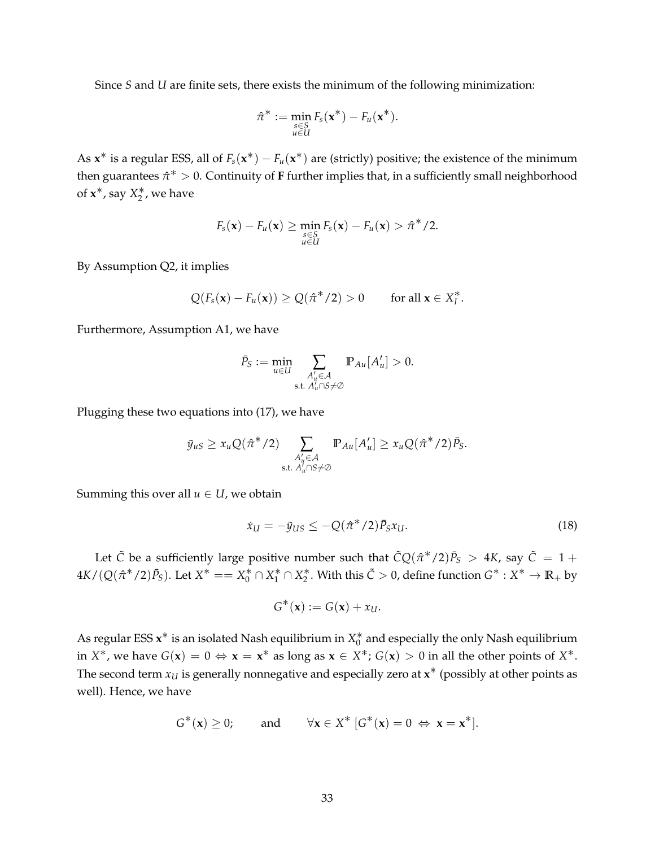Since *S* and *U* are finite sets, there exists the minimum of the following minimization:

$$
\hat{\pi}^* := \min_{\substack{s \in S \\ u \in U}} F_s(\mathbf{x}^*) - F_u(\mathbf{x}^*).
$$

As  $x^*$  is a regular ESS, all of  $F_s(x^*) - F_u(x^*)$  are (strictly) positive; the existence of the minimum then guarantees  $\hat{\pi}^* > 0$ . Continuity of **F** further implies that, in a sufficiently small neighborhood of  $x^*$ , say  $X_2^*$ , we have

$$
F_s(\mathbf{x}) - F_u(\mathbf{x}) \geq \min_{\substack{s \in S \\ u \in U}} F_s(\mathbf{x}) - F_u(\mathbf{x}) > \hat{\pi}^*/2.
$$

By Assumption [Q2,](#page-8-2) it implies

$$
Q(F_{s}(\mathbf{x}) - F_{u}(\mathbf{x})) \geq Q(\hat{\pi}^{*}/2) > 0 \quad \text{for all } \mathbf{x} \in X_{I}^{*}.
$$

Furthermore, Assumption [A1,](#page-8-0) we have

$$
\bar{P}_S := \min_{u \in U} \sum_{\substack{A'_u \in \mathcal{A} \\ \text{s.t. } A'_u \cap S \neq \emptyset}} \mathbb{P}_{Au}[A'_u] > 0.
$$

Plugging these two equations into [\(17\)](#page-31-1), we have

$$
\tilde{y}_{uS} \geq x_u Q(\hat{\pi}^*/2) \sum_{\substack{A'_u \in \mathcal{A} \\ \text{s.t. } A'_u \cap S \neq \emptyset}} \mathbb{P}_{Au}[A'_u] \geq x_u Q(\hat{\pi}^*/2) \bar{P}_S.
$$

Summing this over all  $u \in U$ , we obtain

<span id="page-32-0"></span>
$$
\dot{x}_{U} = -\tilde{y}_{US} \le -Q(\hat{\pi}^{*}/2)\bar{P}_{S}x_{U}.
$$
\n(18)

Let  $\tilde{C}$  be a sufficiently large positive number such that  $\tilde{C}Q(\hat{\pi}^*/2)\tilde{P}_S > 4K$ , say  $\tilde{C} = 1 + \tilde{C}$  $4K/(Q(\hat{\pi}^*/2)\bar{P}_S)$ . Let  $X^* == X_0^* \cap X_1^* \cap X_2^*$ . With this  $\tilde{C} > 0$ , define function  $G^* : X^* \to \mathbb{R}_+$  by

$$
G^*(\mathbf{x}) := G(\mathbf{x}) + x_U.
$$

As regular ESS  $\mathsf{x}^*$  is an isolated Nash equilibrium in  $X^*_0$  and especially the only Nash equilibrium in  $X^*$ , we have  $G(x) = 0 \Leftrightarrow x = x^*$  as long as  $x \in X^*$ ;  $G(x) > 0$  in all the other points of  $X^*$ . The second term  $x_U$  is generally nonnegative and especially zero at  $\mathbf{x}^*$  (possibly at other points as well). Hence, we have

$$
G^*(\mathbf{x}) \ge 0;
$$
 and  $\forall \mathbf{x} \in X^* \ [G^*(\mathbf{x}) = 0 \Leftrightarrow \mathbf{x} = \mathbf{x}^*].$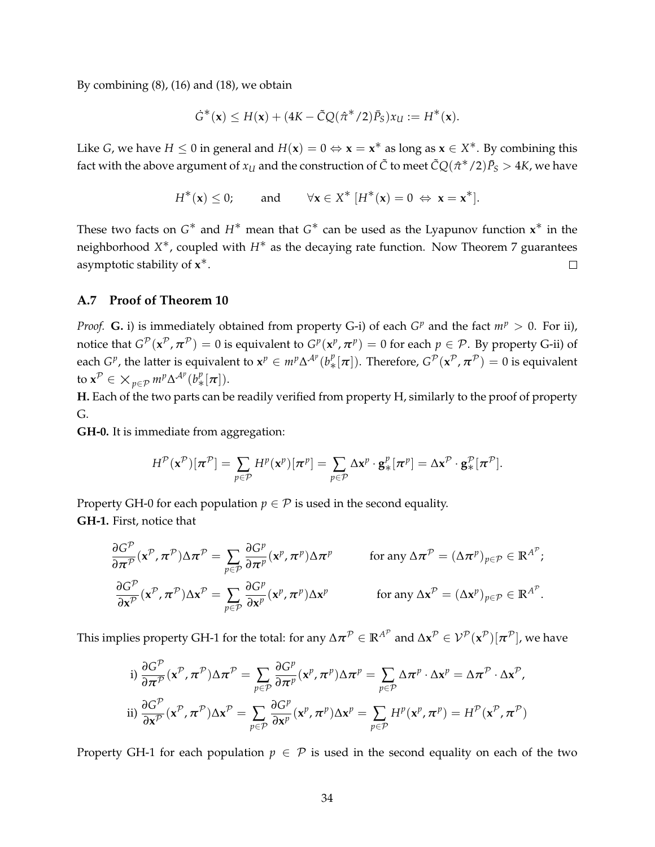By combining [\(8\)](#page-14-1), [\(16\)](#page-31-2) and [\(18\)](#page-32-0), we obtain

$$
\dot{G}^*(\mathbf{x}) \leq H(\mathbf{x}) + (4K - \tilde{C}Q(\hat{\pi}^*/2)\bar{P}_S)x_U := H^*(\mathbf{x}).
$$

Like *G*, we have  $H \le 0$  in general and  $H(\mathbf{x}) = 0 \Leftrightarrow \mathbf{x} = \mathbf{x}^*$  as long as  $\mathbf{x} \in X^*$ . By combining this fact with the above argument of  $x_U$  and the construction of  $\tilde{C}$  to meet  $\tilde{C}Q(\hat{\pi}^*/2)\bar{P}_S>4K$ , we have

$$
H^*(\mathbf{x}) \le 0; \quad \text{and} \quad \forall \mathbf{x} \in X^* \; [H^*(\mathbf{x}) = 0 \Leftrightarrow \mathbf{x} = \mathbf{x}^*].
$$

These two facts on *G*<sup>\*</sup> and *H*<sup>\*</sup> mean that *G*<sup>\*</sup> can be used as the Lyapunov function **x**<sup>\*</sup> in the neighborhood *X* ∗, coupled with *<sup>H</sup>*∗ as the decaying rate function. Now Theorem [7](#page-14-2) guarantees asymptotic stability of **x** ∗.  $\Box$ 

# **A.7 Proof of Theorem [10](#page-20-0)**

*Proof.* **G.** i) is immediately obtained from property G-i) of each  $G^p$  and the fact  $m^p > 0$ . For ii), notice that  $G^{\mathcal{P}}(x^{\mathcal{P}}, \pi^{\mathcal{P}}) = 0$  is equivalent to  $G^p(x^p, \pi^p) = 0$  for each  $p \in \mathcal{P}$ . By property G-ii) of each  $G^p$ , the latter is equivalent to  $\mathbf{x}^p \in m^p \Delta^{\mathcal{A}^p}(b^p_*(\pi])$ . Therefore,  $G^{\mathcal{P}}(\mathbf{x}^{\mathcal{P}}, \pi^{\mathcal{P}}) = 0$  is equivalent to  $\mathbf{x}^{\mathcal{P}} \in \times_{p \in \mathcal{P}} m^p \Delta^{\mathcal{A}^p}(b^p_*(\pi)).$ 

**H.** Each of the two parts can be readily verified from property H, similarly to the proof of property G.

**GH-0.** It is immediate from aggregation:

$$
H^{\mathcal{P}}(\mathbf{x}^{\mathcal{P}})[\boldsymbol{\pi}^{\mathcal{P}}] = \sum_{p \in \mathcal{P}} H^p(\mathbf{x}^p)[\boldsymbol{\pi}^p] = \sum_{p \in \mathcal{P}} \Delta \mathbf{x}^p \cdot \mathbf{g}_*^p[\boldsymbol{\pi}^p] = \Delta \mathbf{x}^{\mathcal{P}} \cdot \mathbf{g}_*^{\mathcal{P}}[\boldsymbol{\pi}^{\mathcal{P}}].
$$

Property GH-0 for each population  $p \in \mathcal{P}$  is used in the second equality. **GH-1.** First, notice that

$$
\frac{\partial G^{\mathcal{P}}}{\partial \pi^{\mathcal{P}}}(\mathbf{x}^{\mathcal{P}}, \pi^{\mathcal{P}}) \Delta \pi^{\mathcal{P}} = \sum_{p \in \mathcal{P}} \frac{\partial G^{p}}{\partial \pi^{p}}(\mathbf{x}^{p}, \pi^{p}) \Delta \pi^{p} \quad \text{for any } \Delta \pi^{\mathcal{P}} = (\Delta \pi^{p})_{p \in \mathcal{P}} \in \mathbb{R}^{A^{\mathcal{P}}};
$$
  

$$
\frac{\partial G^{\mathcal{P}}}{\partial \mathbf{x}^{\mathcal{P}}}(\mathbf{x}^{\mathcal{P}}, \pi^{\mathcal{P}}) \Delta \mathbf{x}^{\mathcal{P}} = \sum_{p \in \mathcal{P}} \frac{\partial G^{p}}{\partial \mathbf{x}^{p}}(\mathbf{x}^{p}, \pi^{p}) \Delta \mathbf{x}^{p} \quad \text{for any } \Delta \mathbf{x}^{\mathcal{P}} = (\Delta \mathbf{x}^{p})_{p \in \mathcal{P}} \in \mathbb{R}^{A^{\mathcal{P}}}.
$$

This implies property GH-1 for the total: for any  $\Delta\bm{\pi}^{\mathcal{P}}\in\mathbb{R}^{A^{\mathcal{P}}}$  and  $\Delta\bm{x}^{\mathcal{P}}\in\mathcal{V}^{\mathcal{P}}(\bm{x}^{\mathcal{P}})[\bm{\pi}^{\mathcal{P}}]$ , we have

i) 
$$
\frac{\partial G^{\mathcal{P}}}{\partial \pi^{\mathcal{P}}}(\mathbf{x}^{\mathcal{P}}, \pi^{\mathcal{P}}) \Delta \pi^{\mathcal{P}} = \sum_{p \in \mathcal{P}} \frac{\partial G^{p}}{\partial \pi^{p}}(\mathbf{x}^{p}, \pi^{p}) \Delta \pi^{p} = \sum_{p \in \mathcal{P}} \Delta \pi^{p} \cdot \Delta \mathbf{x}^{p} = \Delta \pi^{\mathcal{P}} \cdot \Delta \mathbf{x}^{\mathcal{P}},
$$
  
ii) 
$$
\frac{\partial G^{\mathcal{P}}}{\partial \mathbf{x}^{\mathcal{P}}}(\mathbf{x}^{\mathcal{P}}, \pi^{\mathcal{P}}) \Delta \mathbf{x}^{\mathcal{P}} = \sum_{p \in \mathcal{P}} \frac{\partial G^{p}}{\partial \mathbf{x}^{p}}(\mathbf{x}^{p}, \pi^{p}) \Delta \mathbf{x}^{p} = \sum_{p \in \mathcal{P}} H^{p}(\mathbf{x}^{p}, \pi^{p}) = H^{\mathcal{P}}(\mathbf{x}^{\mathcal{P}}, \pi^{\mathcal{P}})
$$

Property GH-1 for each population  $p \in \mathcal{P}$  is used in the second equality on each of the two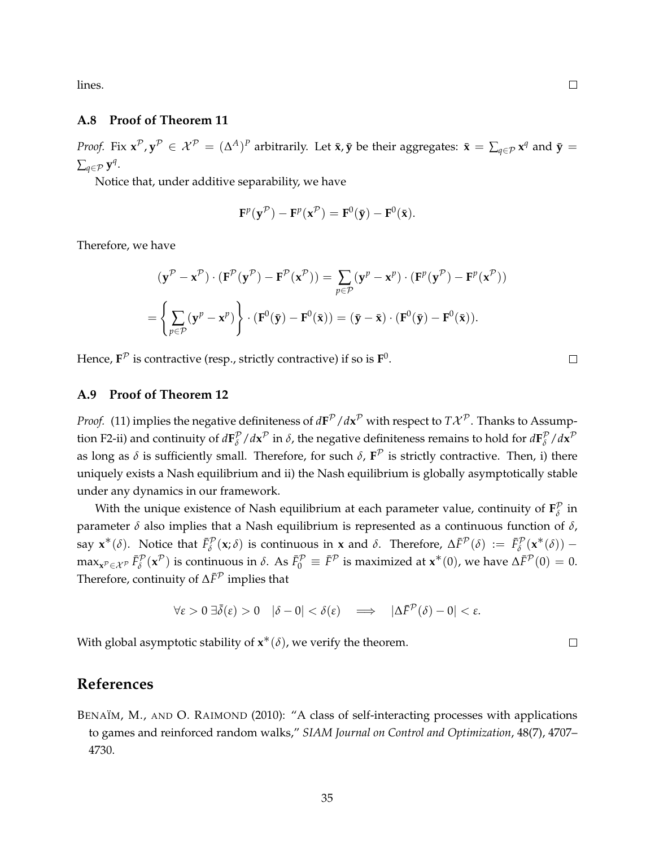lines.

# **A.8 Proof of Theorem [11](#page-21-0)**

*Proof.* Fix  $\mathbf{x}^{\mathcal{P}}, \mathbf{y}^{\mathcal{P}} \in \mathcal{X}^{\mathcal{P}} = (\Delta^A)^P$  arbitrarily. Let  $\bar{\mathbf{x}}, \bar{\mathbf{y}}$  be their aggregates:  $\bar{\mathbf{x}} = \sum_{q \in \mathcal{P}} \mathbf{x}^q$  and  $\bar{\mathbf{y}} = \bar{\mathbf{y}}$  $\sum_{q \in \mathcal{P}} \mathbf{y}^q$ .

Notice that, under additive separability, we have

$$
\mathbf{F}^p(\mathbf{y}^{\mathcal{P}}) - \mathbf{F}^p(\mathbf{x}^{\mathcal{P}}) = \mathbf{F}^0(\bar{\mathbf{y}}) - \mathbf{F}^0(\bar{\mathbf{x}}).
$$

Therefore, we have

$$
(\mathbf{y}^{\mathcal{P}} - \mathbf{x}^{\mathcal{P}}) \cdot (\mathbf{F}^{\mathcal{P}}(\mathbf{y}^{\mathcal{P}}) - \mathbf{F}^{\mathcal{P}}(\mathbf{x}^{\mathcal{P}})) = \sum_{p \in \mathcal{P}} (\mathbf{y}^{p} - \mathbf{x}^{p}) \cdot (\mathbf{F}^{p}(\mathbf{y}^{\mathcal{P}}) - \mathbf{F}^{p}(\mathbf{x}^{\mathcal{P}}))
$$
  
= 
$$
\left\{ \sum_{p \in \mathcal{P}} (\mathbf{y}^{p} - \mathbf{x}^{p}) \right\} \cdot (\mathbf{F}^{0}(\bar{\mathbf{y}}) - \mathbf{F}^{0}(\bar{\mathbf{x}})) = (\bar{\mathbf{y}} - \bar{\mathbf{x}}) \cdot (\mathbf{F}^{0}(\bar{\mathbf{y}}) - \mathbf{F}^{0}(\bar{\mathbf{x}})).
$$

Hence,  $F^{\mathcal{P}}$  is contractive (resp., strictly contractive) if so is  $F^0$ .

### **A.9 Proof of Theorem [12](#page-23-4)**

*Proof.* [\(11\)](#page-23-5) implies the negative definiteness of  $d{\bf F}^{\mathcal{P}}/d{\bf x}^{\mathcal{P}}$  with respect to  $T{\cal X}^{\mathcal{P}}.$  Thanks to Assump-tion [F2-](#page-23-3)ii) and continuity of  $d\mathbf{F}_{\delta}^{\mathcal{P}}$  $\int$ <sup>*β*</sup> / $d$ **x**<sup>*P*</sup> in *δ*, the negative definiteness remains to hold for  $d$ **F** $^p$ <sup>*β*</sup> *δ* /*d***x** P as long as  $\delta$  is sufficiently small. Therefore, for such  $\delta$ ,  $F^{\mathcal{P}}$  is strictly contractive. Then, i) there uniquely exists a Nash equilibrium and ii) the Nash equilibrium is globally asymptotically stable under any dynamics in our framework.

With the unique existence of Nash equilibrium at each parameter value, continuity of  $\mathbf{F}_{\delta}^{\mathcal{P}}$ *δ* in parameter  $\delta$  also implies that a Nash equilibrium is represented as a continuous function of  $\delta$ , say  $\mathbf{x}^*(\delta)$ . Notice that  $\bar{F}_\delta^{\mathcal{P}}(\mathbf{x};\delta)$  is continuous in  $\mathbf{x}$  and  $\delta$ . Therefore,  $\Delta \bar{F}^{\mathcal{P}}(\delta) := \bar{F}_\delta^{\mathcal{P}}(\mathbf{x}^*(\delta))$  –  $\max_{\mathbf{x}^{\mathcal{P}} \in \mathcal{X}^{\mathcal{P}}} \bar{F}_{\delta}^{\mathcal{P}}(\mathbf{x}^{\mathcal{P}})$  is continuous in  $\delta$ . As  $\bar{F}_{0}^{\mathcal{P}} \equiv \bar{F}^{\mathcal{P}}$  is maximized at  $\mathbf{x}^{*}(0)$ , we have  $\Delta \bar{F}^{\mathcal{P}}(0) = 0$ . Therefore, continuity of  $\Delta \bar{F}^{\mathcal{P}}$  implies that

$$
\forall \varepsilon > 0 \ \exists \bar{\delta}(\varepsilon) > 0 \quad |\delta - 0| < \delta(\varepsilon) \quad \Longrightarrow \quad |\Delta \bar{F}^{\mathcal{P}}(\delta) - 0| < \varepsilon.
$$

With global asymptotic stability of  $\mathbf{x}^*(\delta)$ , we verify the theorem.

# **References**

<span id="page-34-0"></span>BENAÏM, M., AND O. RAIMOND (2010): "A class of self-interacting processes with applications to games and reinforced random walks," *SIAM Journal on Control and Optimization*, 48(7), 4707– 4730.

 $\Box$ 

 $\Box$ 

 $\Box$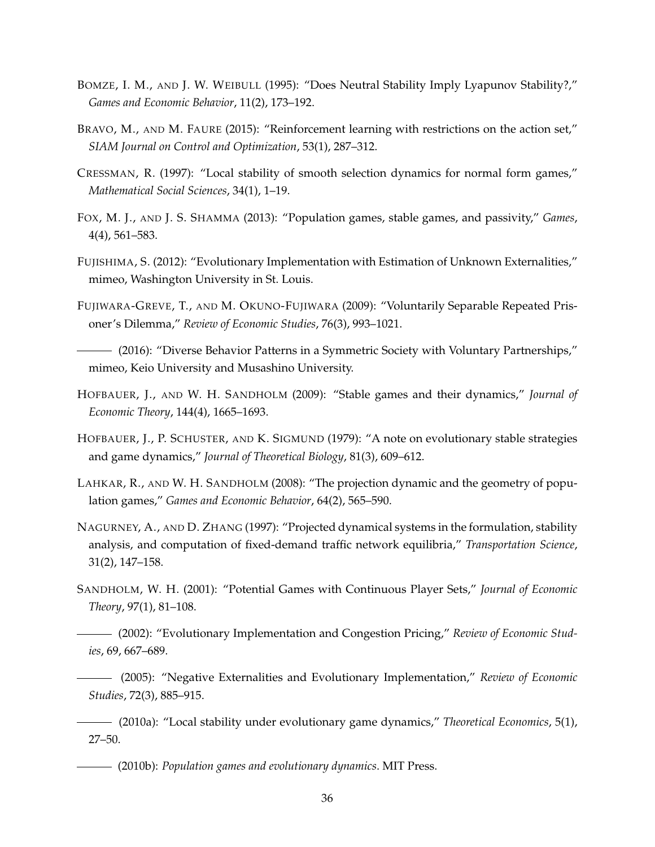- <span id="page-35-10"></span>BOMZE, I. M., AND J. W. WEIBULL (1995): "Does Neutral Stability Imply Lyapunov Stability?," *Games and Economic Behavior*, 11(2), 173–192.
- <span id="page-35-2"></span>BRAVO, M., AND M. FAURE (2015): "Reinforcement learning with restrictions on the action set," *SIAM Journal on Control and Optimization*, 53(1), 287–312.
- <span id="page-35-9"></span>CRESSMAN, R. (1997): "Local stability of smooth selection dynamics for normal form games," *Mathematical Social Sciences*, 34(1), 1–19.
- <span id="page-35-3"></span>FOX, M. J., AND J. S. SHAMMA (2013): "Population games, stable games, and passivity," *Games*, 4(4), 561–583.
- <span id="page-35-13"></span>FUJISHIMA, S. (2012): "Evolutionary Implementation with Estimation of Unknown Externalities," mimeo, Washington University in St. Louis.
- <span id="page-35-14"></span>FUJIWARA-GREVE, T., AND M. OKUNO-FUJIWARA (2009): "Voluntarily Separable Repeated Prisoner's Dilemma," *Review of Economic Studies*, 76(3), 993–1021.
- <span id="page-35-15"></span>(2016): "Diverse Behavior Patterns in a Symmetric Society with Voluntary Partnerships," mimeo, Keio University and Musashino University.
- <span id="page-35-1"></span>HOFBAUER, J., AND W. H. SANDHOLM (2009): "Stable games and their dynamics," *Journal of Economic Theory*, 144(4), 1665–1693.
- <span id="page-35-4"></span>HOFBAUER, J., P. SCHUSTER, AND K. SIGMUND (1979): "A note on evolutionary stable strategies and game dynamics," *Journal of Theoretical Biology*, 81(3), 609–612.
- <span id="page-35-12"></span>LAHKAR, R., AND W. H. SANDHOLM (2008): "The projection dynamic and the geometry of population games," *Games and Economic Behavior*, 64(2), 565–590.
- <span id="page-35-11"></span>NAGURNEY, A., AND D. ZHANG (1997): "Projected dynamical systems in the formulation, stability analysis, and computation of fixed-demand traffic network equilibria," *Transportation Science*, 31(2), 147–158.
- <span id="page-35-5"></span><span id="page-35-0"></span>SANDHOLM, W. H. (2001): "Potential Games with Continuous Player Sets," *Journal of Economic Theory*, 97(1), 81–108.
	- (2002): "Evolutionary Implementation and Congestion Pricing," *Review of Economic Studies*, 69, 667–689.
	- (2005): "Negative Externalities and Evolutionary Implementation," *Review of Economic Studies*, 72(3), 885–915.
- <span id="page-35-8"></span><span id="page-35-7"></span><span id="page-35-6"></span>(2010a): "Local stability under evolutionary game dynamics," *Theoretical Economics*, 5(1), 27–50.
	- (2010b): *Population games and evolutionary dynamics*. MIT Press.